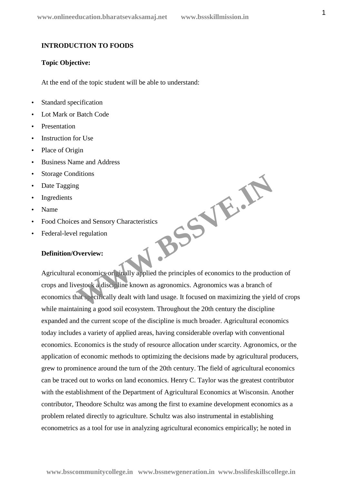# **INTRODUCTION TO FOODS**

# **Topic Objective:**

At the end of the topic student will be able to understand:

- Standard specification
- Lot Mark or Batch Code
- Presentation
- Instruction for Use
- Place of Origin
- Business Name and Address
- Storage Conditions
- Date Tagging
- Ingredients
- Name
- Food Choices and Sensory Characteristics **WWW.BSSVE.IN**
- Federal-level regulation

### **Definition/Overview:**

Agricultural economics originally applied the principles of economics to the production of crops and livestock a discipline known as agronomics. Agronomics was a branch of economics that specifically dealt with land usage. It focused on maximizing the yield of crops while maintaining a good soil ecosystem. Throughout the 20th century the discipline expanded and the current scope of the discipline is much broader. Agricultural economics today includes a variety of applied areas, having considerable overlap with conventional economics. Economics is the study of resource allocation under scarcity. Agronomics, or the application of economic methods to optimizing the decisions made by agricultural producers, grew to prominence around the turn of the 20th century. The field of agricultural economics can be traced out to works on land economics. Henry C. Taylor was the greatest contributor with the establishment of the Department of Agricultural Economics at Wisconsin. Another contributor, Theodore Schultz was among the first to examine development economics as a problem related directly to agriculture. Schultz was also instrumental in establishing econometrics as a tool for use in analyzing agricultural economics empirically; he noted in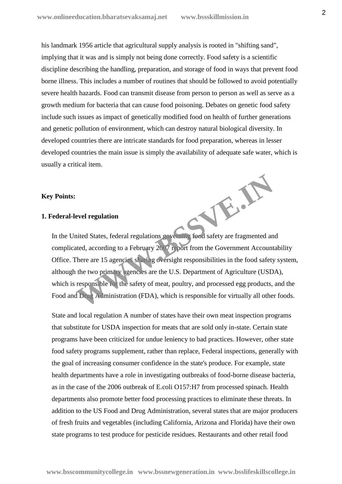his landmark 1956 article that agricultural supply analysis is rooted in "shifting sand", implying that it was and is simply not being done correctly. Food safety is a scientific discipline describing the handling, preparation, and storage of food in ways that prevent food borne illness. This includes a number of routines that should be followed to avoid potentially severe health hazards. Food can transmit disease from person to person as well as serve as a growth medium for bacteria that can cause food poisoning. Debates on genetic food safety include such issues as impact of genetically modified food on health of further generations and genetic pollution of environment, which can destroy natural biological diversity. In developed countries there are intricate standards for food preparation, whereas in lesser developed countries the main issue is simply the availability of adequate safe water, which is usually a critical item.

### **Key Points:**

# **1. Federal-level regulation**

In the United States, federal regulations governing food safety are fragmented and complicated, according to a February 2007 report from the Government Accountability Office. There are 15 agencies sharing oversight responsibilities in the food safety system, although the two primary agencies are the U.S. Department of Agriculture (USDA), which is responsible for the safety of meat, poultry, and processed egg products, and the Food and Drug Administration (FDA), which is responsible for virtually all other foods. W.B.W.

State and local regulation A number of states have their own meat inspection programs that substitute for USDA inspection for meats that are sold only in-state. Certain state programs have been criticized for undue leniency to bad practices. However, other state food safety programs supplement, rather than replace, Federal inspections, generally with the goal of increasing consumer confidence in the state's produce. For example, state health departments have a role in investigating outbreaks of food-borne disease bacteria, as in the case of the 2006 outbreak of E.coli O157:H7 from processed spinach. Health departments also promote better food processing practices to eliminate these threats. In addition to the US Food and Drug Administration, several states that are major producers of fresh fruits and vegetables (including California, Arizona and Florida) have their own state programs to test produce for pesticide residues. Restaurants and other retail food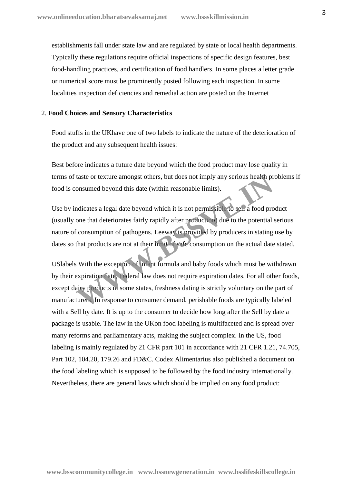establishments fall under state law and are regulated by state or local health departments. Typically these regulations require official inspections of specific design features, best food-handling practices, and certification of food handlers. In some places a letter grade or numerical score must be prominently posted following each inspection. In some localities inspection deficiencies and remedial action are posted on the Internet

#### 2. **Food Choices and Sensory Characteristics**

Food stuffs in the UKhave one of two labels to indicate the nature of the deterioration of the product and any subsequent health issues:

Best before indicates a future date beyond which the food product may lose quality in terms of taste or texture amongst others, but does not imply any serious health problems if food is consumed beyond this date (within reasonable limits).

Use by indicates a legal date beyond which it is not permissible to sell a food product (usually one that deteriorates fairly rapidly after production) due to the potential serious nature of consumption of pathogens. Leeway is provided by producers in stating use by dates so that products are not at their limit of safe consumption on the actual date stated.

USlabels With the exception of infant formula and baby foods which must be withdrawn by their expiration date, Federal law does not require expiration dates. For all other foods, except dairy products in some states, freshness dating is strictly voluntary on the part of manufacturers. In response to consumer demand, perishable foods are typically labeled with a Sell by date. It is up to the consumer to decide how long after the Sell by date a package is usable. The law in the UKon food labeling is multifaceted and is spread over many reforms and parliamentary acts, making the subject complex. In the US, food labeling is mainly regulated by 21 CFR part 101 in accordance with 21 CFR 1.21, 74.705, Part 102, 104.20, 179.26 and FD&C. Codex Alimentarius also published a document on the food labeling which is supposed to be followed by the food industry internationally. Nevertheless, there are general laws which should be implied on any food product: taste or texture amongst others, but does not imply any serious health pronsumed beyond this date (within reasonable limits).<br>
Indicates a legal date beyond which it is not permissible to sell a food procedure that deterio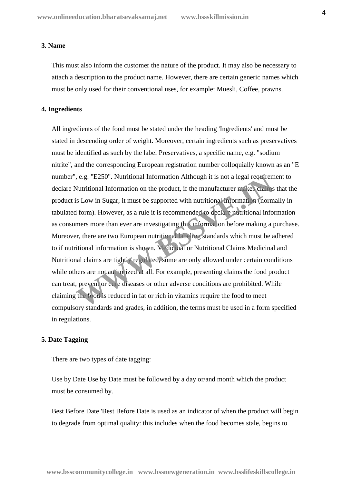#### **3. Name**

This must also inform the customer the nature of the product. It may also be necessary to attach a description to the product name. However, there are certain generic names which must be only used for their conventional uses, for example: Muesli, Coffee, prawns.

### **4. Ingredients**

All ingredients of the food must be stated under the heading 'Ingredients' and must be stated in descending order of weight. Moreover, certain ingredients such as preservatives must be identified as such by the label Preservatives, a specific name, e.g. "sodium nitrite", and the corresponding European registration number colloquially known as an "E number", e.g. "E250". Nutritional Information Although it is not a legal requirement to declare Nutritional Information on the product, if the manufacturer makes claims that the product is Low in Sugar, it must be supported with nutritional information (normally in tabulated form). However, as a rule it is recommended to declare nutritional information as consumers more than ever are investigating this information before making a purchase. Moreover, there are two European nutritional labeling standards which must be adhered to if nutritional information is shown. Medicinal or Nutritional Claims Medicinal and Nutritional claims are tightly regulated, some are only allowed under certain conditions while others are not authorized at all. For example, presenting claims the food product can treat, prevent or cure diseases or other adverse conditions are prohibited. While claiming the food is reduced in fat or rich in vitamins require the food to meet compulsory standards and grades, in addition, the terms must be used in a form specified in regulations. e.g. "E250". Nutritional Information Although it is not a legal requirem<br>Nutritional Information on the product, if the manufacturer makes chains<br>is Low in Sugar, it must be supported with nutritional information (norm<br>I f

# **5. Date Tagging**

There are two types of date tagging:

Use by Date Use by Date must be followed by a day or/and month which the product must be consumed by.

Best Before Date 'Best Before Date is used as an indicator of when the product will begin to degrade from optimal quality: this includes when the food becomes stale, begins to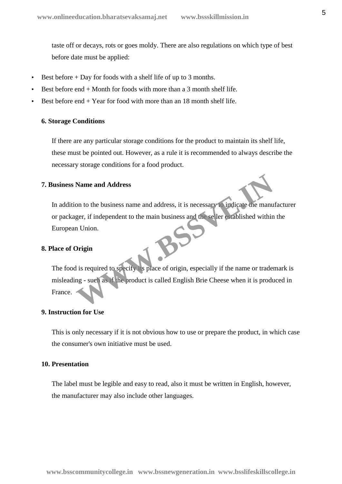taste off or decays, rots or goes moldy. There are also regulations on which type of best before date must be applied:

- Best before + Day for foods with a shelf life of up to 3 months.
- Best before end + Month for foods with more than a 3 month shelf life.
- Best before end + Year for food with more than an 18 month shelf life.

### **6. Storage Conditions**

If there are any particular storage conditions for the product to maintain its shelf life, these must be pointed out. However, as a rule it is recommended to always describe the necessary storage conditions for a food product.

# **7. Business Name and Address**

In addition to the business name and address, it is necessary to indicate the manufacturer or packager, if independent to the main business and the seller established within the European Union.<br>Place of Origin European Union. Name and Address<br>
on to the business name and address, it is necessary to indicate the manu<br>
ger, if independent to the main business and the seller exablished within<br>
n Union.<br> **Drigin**<br>
is required to specify as place of

### **8. Place of Origin**

The food is required to specify its place of origin, especially if the name or trademark is misleading - such as if the product is called English Brie Cheese when it is produced in France.

### **9. Instruction for Use**

This is only necessary if it is not obvious how to use or prepare the product, in which case the consumer's own initiative must be used.

# **10. Presentation**

The label must be legible and easy to read, also it must be written in English, however, the manufacturer may also include other languages.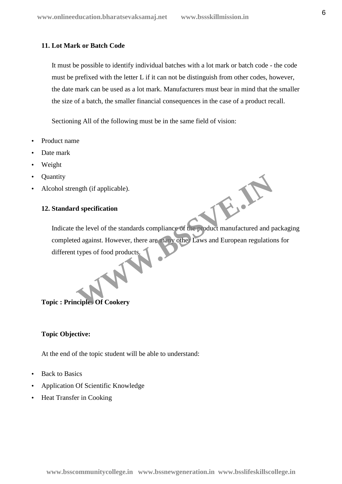# **11. Lot Mark or Batch Code**

It must be possible to identify individual batches with a lot mark or batch code - the code must be prefixed with the letter L if it can not be distinguish from other codes, however, the date mark can be used as a lot mark. Manufacturers must bear in mind that the smaller the size of a batch, the smaller financial consequences in the case of a product recall.

Sectioning All of the following must be in the same field of vision:

- Product name
- Date mark
- Weight
- **Quantity**
- Alcohol strength (if applicable).

# **12. Standard specification**

Indicate the level of the standards compliance of the product manufactured and packaging completed against. However, there are many other Laws and European regulations for different types of food products. W.B.

# **Topic : Principles Of Cookery**

# **Topic Objective:**

At the end of the topic student will be able to understand:

- Back to Basics
- Application Of Scientific Knowledge
- Heat Transfer in Cooking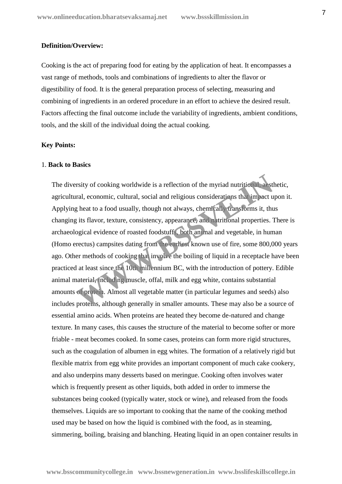### **Definition/Overview:**

Cooking is the act of preparing food for eating by the application of heat. It encompasses a vast range of methods, tools and combinations of ingredients to alter the flavor or digestibility of food. It is the general preparation process of selecting, measuring and combining of ingredients in an ordered procedure in an effort to achieve the desired result. Factors affecting the final outcome include the variability of ingredients, ambient conditions, tools, and the skill of the individual doing the actual cooking.

#### **Key Points:**

### 1. **Back to Basics**

The diversity of cooking worldwide is a reflection of the myriad nutritional, aesthetic, agricultural, economic, cultural, social and religious considerations that impact upon it. Applying heat to a food usually, though not always, chemically transforms it, thus changing its flavor, texture, consistency, appearance, and nutritional properties. There is archaeological evidence of roasted foodstuffs, both animal and vegetable, in human (Homo erectus) campsites dating from the earliest known use of fire, some 800,000 years ago. Other methods of cooking that involve the boiling of liquid in a receptacle have been practiced at least since the 10th millennium BC, with the introduction of pottery. Edible animal material, including muscle, offal, milk and egg white, contains substantial amounts of protein. Almost all vegetable matter (in particular legumes and seeds) also includes proteins, although generally in smaller amounts. These may also be a source of essential amino acids. When proteins are heated they become de-natured and change texture. In many cases, this causes the structure of the material to become softer or more friable - meat becomes cooked. In some cases, proteins can form more rigid structures, such as the coagulation of albumen in egg whites. The formation of a relatively rigid but flexible matrix from egg white provides an important component of much cake cookery, and also underpins many desserts based on meringue. Cooking often involves water which is frequently present as other liquids, both added in order to immerse the substances being cooked (typically water, stock or wine), and released from the foods themselves. Liquids are so important to cooking that the name of the cooking method used may be based on how the liquid is combined with the food, as in steaming, simmering, boiling, braising and blanching. Heating liquid in an open container results in rsity of cooking worldwide is a reflection of the myriad nutritional and relational reset ral, economic, cultural, social and religious considerations that impact u g heat to a food usually, though not always, chemically t

**www.bsscommunitycollege.in www.bssnewgeneration.in www.bsslifeskillscollege.in**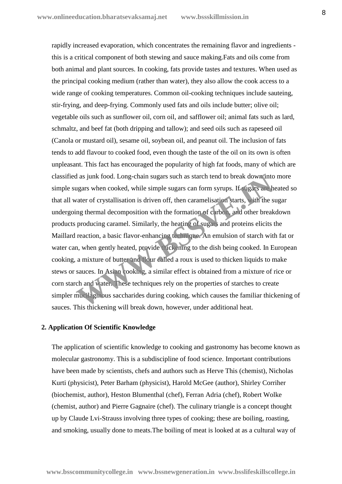rapidly increased evaporation, which concentrates the remaining flavor and ingredients this is a critical component of both stewing and sauce making.Fats and oils come from both animal and plant sources. In cooking, fats provide tastes and textures. When used as the principal cooking medium (rather than water), they also allow the cook access to a wide range of cooking temperatures. Common oil-cooking techniques include sauteing, stir-frying, and deep-frying. Commonly used fats and oils include butter; olive oil; vegetable oils such as sunflower oil, corn oil, and safflower oil; animal fats such as lard, schmaltz, and beef fat (both dripping and tallow); and seed oils such as rapeseed oil (Canola or mustard oil), sesame oil, soybean oil, and peanut oil. The inclusion of fats tends to add flavour to cooked food, even though the taste of the oil on its own is often unpleasant. This fact has encouraged the popularity of high fat foods, many of which are classified as junk food. Long-chain sugars such as starch tend to break down into more simple sugars when cooked, while simple sugars can form syrups. If sugars are heated so that all water of crystallisation is driven off, then caramelisation starts, with the sugar undergoing thermal decomposition with the formation of carbon, and other breakdown products producing caramel. Similarly, the heating of sugars and proteins elicits the Maillard reaction, a basic flavor-enhancing technique. An emulsion of starch with fat or water can, when gently heated, provide thickening to the dish being cooked. In European cooking, a mixture of butter and flour called a roux is used to thicken liquids to make stews or sauces. In Asian cooking, a similar effect is obtained from a mixture of rice or corn starch and water. These techniques rely on the properties of starches to create simpler mucilaginous saccharides during cooking, which causes the familiar thickening of sauces. This thickening will break down, however, under additional heat. It as junk food. Long-chain sugars such as starch tend to break down into<br>ugars when cooked, while simple sugars can form syrups. If ugars are h<br>vater of crystallisation is driven off, then caramelisation starts, with the

### **2. Application Of Scientific Knowledge**

The application of scientific knowledge to cooking and gastronomy has become known as molecular gastronomy. This is a subdiscipline of food science. Important contributions have been made by scientists, chefs and authors such as Herve This (chemist), Nicholas Kurti (physicist), Peter Barham (physicist), Harold McGee (author), Shirley Corriher (biochemist, author), Heston Blumenthal (chef), Ferran Adria (chef), Robert Wolke (chemist, author) and Pierre Gagnaire (chef). The culinary triangle is a concept thought up by Claude Lvi-Strauss involving three types of cooking; these are boiling, roasting, and smoking, usually done to meats.The boiling of meat is looked at as a cultural way of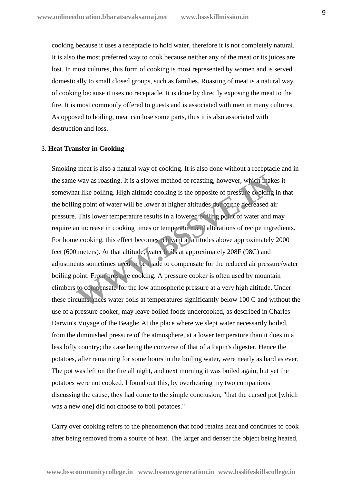cooking because it uses a receptacle to hold water, therefore it is not completely natural. It is also the most preferred way to cook because neither any of the meat or its juices are lost. In most cultures, this form of cooking is most represented by women and is served domestically to small closed groups, such as families. Roasting of meat is a natural way of cooking because it uses no receptacle. It is done by directly exposing the meat to the fire. It is most commonly offered to guests and is associated with men in many cultures. As opposed to boiling, meat can lose some parts, thus it is also associated with destruction and loss.

### 3. **Heat Transfer in Cooking**

Smoking meat is also a natural way of cooking. It is also done without a receptacle and in the same way as roasting. It is a slower method of roasting, however, which makes it somewhat like boiling. High altitude cooking is the opposite of pressure cooking in that the boiling point of water will be lower at higher altitudes due to the decreased air pressure. This lower temperature results in a lowered boiling point of water and may require an increase in cooking times or temperature and alterations of recipe ingredients. For home cooking, this effect becomes relevant at altitudes above approximately 2000 feet (600 meters). At that altitude, water boils at approximately 208F (98C) and adjustments sometimes need to be made to compensate for the reduced air pressure/water boiling point. From pressure cooking: A pressure cooker is often used by mountain climbers to compensate for the low atmospheric pressure at a very high altitude. Under these circumstances water boils at temperatures significantly below 100 C and without the use of a pressure cooker, may leave boiled foods undercooked, as described in Charles Darwin's Voyage of the Beagle: At the place where we slept water necessarily boiled, from the diminished pressure of the atmosphere, at a lower temperature than it does in a less lofty country; the case being the converse of that of a Papin's digester. Hence the potatoes, after remaining for some hours in the boiling water, were nearly as hard as ever. The pot was left on the fire all night, and next morning it was boiled again, but yet the potatoes were not cooked. I found out this, by overhearing my two companions discussing the cause, they had come to the simple conclusion, "that the cursed pot [which was a new one] did not choose to boil potatoes." way as roasting. It is a slower method of roasting, however, which make this boiling. High altitude cooking is the opposite of pressure cooking and point of water will be lower at higher altitudes day to the decreased air.

Carry over cooking refers to the phenomenon that food retains heat and continues to cook after being removed from a source of heat. The larger and denser the object being heated,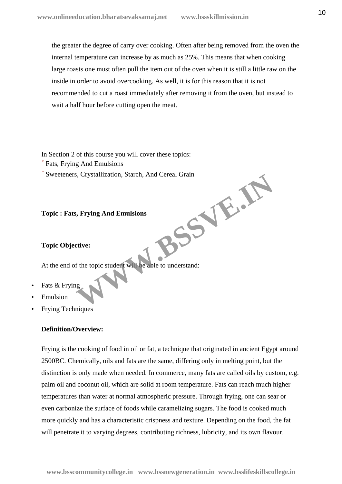the greater the degree of carry over cooking. Often after being removed from the oven the internal temperature can increase by as much as 25%. This means that when cooking large roasts one must often pull the item out of the oven when it is still a little raw on the inside in order to avoid overcooking. As well, it is for this reason that it is not recommended to cut a roast immediately after removing it from the oven, but instead to wait a half hour before cutting open the meat.

In Section 2 of this course you will cover these topics:

- Fats, Frying And Emulsions
- Sweeteners, Crystallization, Starch, And Cereal Grain **WWW.BSSVE.IN**

# **Topic : Fats, Frying And Emulsions**

# **Topic Objective:**

At the end of the topic student will be able to understand:

- Fats & Frying
- Emulsion
- Frying Techniques

# **Definition/Overview:**

Frying is the cooking of food in oil or fat, a technique that originated in ancient Egypt around 2500BC. Chemically, oils and fats are the same, differing only in melting point, but the distinction is only made when needed. In commerce, many fats are called oils by custom, e.g. palm oil and coconut oil, which are solid at room temperature. Fats can reach much higher temperatures than water at normal atmospheric pressure. Through frying, one can sear or even carbonize the surface of foods while caramelizing sugars. The food is cooked much more quickly and has a characteristic crispness and texture. Depending on the food, the fat will penetrate it to varying degrees, contributing richness, lubricity, and its own flavour.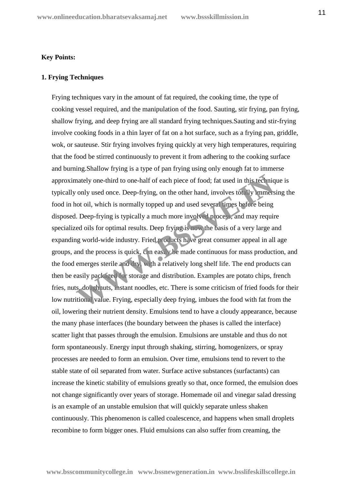# **Key Points:**

### **1. Frying Techniques**

Frying techniques vary in the amount of fat required, the cooking time, the type of cooking vessel required, and the manipulation of the food. Sauting, stir frying, pan frying, shallow frying, and deep frying are all standard frying techniques.Sauting and stir-frying involve cooking foods in a thin layer of fat on a hot surface, such as a frying pan, griddle, wok, or sauteuse. Stir frying involves frying quickly at very high temperatures, requiring that the food be stirred continuously to prevent it from adhering to the cooking surface and burning.Shallow frying is a type of pan frying using only enough fat to immerse approximately one-third to one-half of each piece of food; fat used in this technique is typically only used once. Deep-frying, on the other hand, involves totally immersing the food in hot oil, which is normally topped up and used several times before being disposed. Deep-frying is typically a much more involved process, and may require specialized oils for optimal results. Deep frying is now the basis of a very large and expanding world-wide industry. Fried products have great consumer appeal in all age groups, and the process is quick, can easily be made continuous for mass production, and the food emerges sterile and dry, with a relatively long shelf life. The end products can then be easily packaged for storage and distribution. Examples are potato chips, french fries, nuts, doughnuts, instant noodles, etc. There is some criticism of fried foods for their low nutritional value. Frying, especially deep frying, imbues the food with fat from the oil, lowering their nutrient density. Emulsions tend to have a cloudy appearance, because the many phase interfaces (the boundary between the phases is called the interface) scatter light that passes through the emulsion. Emulsions are unstable and thus do not form spontaneously. Energy input through shaking, stirring, homogenizers, or spray processes are needed to form an emulsion. Over time, emulsions tend to revert to the stable state of oil separated from water. Surface active substances (surfactants) can increase the kinetic stability of emulsions greatly so that, once formed, the emulsion does not change significantly over years of storage. Homemade oil and vinegar salad dressing is an example of an unstable emulsion that will quickly separate unless shaken continuously. This phenomenon is called coalescence, and happens when small droplets recombine to form bigger ones. Fluid emulsions can also suffer from creaming, the nately one-third to one-half of each piece of food; fat used in this technic<br>only used once. Deep-frying, on the other hand, involves totally immers<br>not oil, which is normally topped up and used several impes before being<br>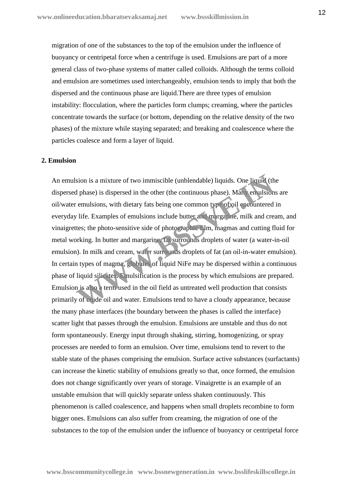migration of one of the substances to the top of the emulsion under the influence of buoyancy or centripetal force when a centrifuge is used. Emulsions are part of a more general class of two-phase systems of matter called colloids. Although the terms colloid and emulsion are sometimes used interchangeably, emulsion tends to imply that both the dispersed and the continuous phase are liquid.There are three types of emulsion instability: flocculation, where the particles form clumps; creaming, where the particles concentrate towards the surface (or bottom, depending on the relative density of the two phases) of the mixture while staying separated; and breaking and coalescence where the particles coalesce and form a layer of liquid.

# **2. Emulsion**

An emulsion is a mixture of two immiscible (unblendable) liquids. One liquid (the dispersed phase) is dispersed in the other (the continuous phase). Many emulsions are oil/water emulsions, with dietary fats being one common type of oil encountered in everyday life. Examples of emulsions include butter and margarine, milk and cream, and vinaigrettes; the photo-sensitive side of photographic film, magmas and cutting fluid for metal working. In butter and margarine, fat surrounds droplets of water (a water-in-oil emulsion). In milk and cream, water surrounds droplets of fat (an oil-in-water emulsion). In certain types of magma, globules of liquid NiFe may be dispersed within a continuous phase of liquid silicates. Emulsification is the process by which emulsions are prepared. Emulsion is also a term used in the oil field as untreated well production that consists primarily of crude oil and water. Emulsions tend to have a cloudy appearance, because the many phase interfaces (the boundary between the phases is called the interface) scatter light that passes through the emulsion. Emulsions are unstable and thus do not form spontaneously. Energy input through shaking, stirring, homogenizing, or spray processes are needed to form an emulsion. Over time, emulsions tend to revert to the stable state of the phases comprising the emulsion. Surface active substances (surfactants) can increase the kinetic stability of emulsions greatly so that, once formed, the emulsion does not change significantly over years of storage. Vinaigrette is an example of an unstable emulsion that will quickly separate unless shaken continuously. This phenomenon is called coalescence, and happens when small droplets recombine to form bigger ones. Emulsions can also suffer from creaming, the migration of one of the substances to the top of the emulsion under the influence of buoyancy or centripetal force is a mixture of two immiscible (unblendable) liquids. One liquid (the phase) is dispersed in the other (the continuous phase). Many emulsion centusions, with dietary fats being one common type of oil encountered v life. Ex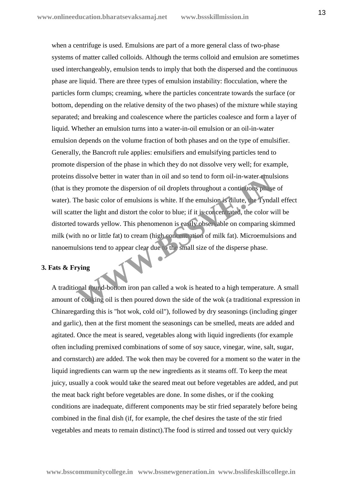when a centrifuge is used. Emulsions are part of a more general class of two-phase systems of matter called colloids. Although the terms colloid and emulsion are sometimes used interchangeably, emulsion tends to imply that both the dispersed and the continuous phase are liquid. There are three types of emulsion instability: flocculation, where the particles form clumps; creaming, where the particles concentrate towards the surface (or bottom, depending on the relative density of the two phases) of the mixture while staying separated; and breaking and coalescence where the particles coalesce and form a layer of liquid. Whether an emulsion turns into a water-in-oil emulsion or an oil-in-water emulsion depends on the volume fraction of both phases and on the type of emulsifier. Generally, the Bancroft rule applies: emulsifiers and emulsifying particles tend to promote dispersion of the phase in which they do not dissolve very well; for example, proteins dissolve better in water than in oil and so tend to form oil-in-water emulsions (that is they promote the dispersion of oil droplets throughout a continuous phase of water). The basic color of emulsions is white. If the emulsion is dilute, the Tyndall effect will scatter the light and distort the color to blue; if it is concentrated, the color will be distorted towards yellow. This phenomenon is easily observable on comparing skimmed milk (with no or little fat) to cream (high concentration of milk fat). Microemulsions and nanoemulsions tend to appear clear due to the small size of the disperse phase. dissolve better in water than in oil and so tend to form oil-in-water-emultiply promote the dispersion of oil droplets throughout a continuous phase.<br>The basic color of emulsions is white. If the emulsion is dilute, the Ty

# **3. Fats & Frying**

A traditional round-bottom iron pan called a wok is heated to a high temperature. A small amount of cooking oil is then poured down the side of the wok (a traditional expression in Chinaregarding this is "hot wok, cold oil"), followed by dry seasonings (including ginger and garlic), then at the first moment the seasonings can be smelled, meats are added and agitated. Once the meat is seared, vegetables along with liquid ingredients (for example often including premixed combinations of some of soy sauce, vinegar, wine, salt, sugar, and cornstarch) are added. The wok then may be covered for a moment so the water in the liquid ingredients can warm up the new ingredients as it steams off. To keep the meat juicy, usually a cook would take the seared meat out before vegetables are added, and put the meat back right before vegetables are done. In some dishes, or if the cooking conditions are inadequate, different components may be stir fried separately before being combined in the final dish (if, for example, the chef desires the taste of the stir fried vegetables and meats to remain distinct).The food is stirred and tossed out very quickly

**www.bsscommunitycollege.in www.bssnewgeneration.in www.bsslifeskillscollege.in**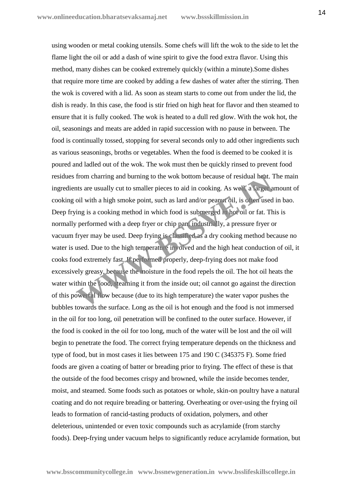using wooden or metal cooking utensils. Some chefs will lift the wok to the side to let the flame light the oil or add a dash of wine spirit to give the food extra flavor. Using this method, many dishes can be cooked extremely quickly (within a minute).Some dishes that require more time are cooked by adding a few dashes of water after the stirring. Then the wok is covered with a lid. As soon as steam starts to come out from under the lid, the dish is ready. In this case, the food is stir fried on high heat for flavor and then steamed to ensure that it is fully cooked. The wok is heated to a dull red glow. With the wok hot, the oil, seasonings and meats are added in rapid succession with no pause in between. The food is continually tossed, stopping for several seconds only to add other ingredients such as various seasonings, broths or vegetables. When the food is deemed to be cooked it is poured and ladled out of the wok. The wok must then be quickly rinsed to prevent food residues from charring and burning to the wok bottom because of residual heat. The main ingredients are usually cut to smaller pieces to aid in cooking. As well, a larger amount of cooking oil with a high smoke point, such as lard and/or peanut oil, is often used in bao. Deep frying is a cooking method in which food is submerged in hot oil or fat. This is normally performed with a deep fryer or chip pan; industrially, a pressure fryer or vacuum fryer may be used. Deep frying is classified as a dry cooking method because no water is used. Due to the high temperature involved and the high heat conduction of oil, it cooks food extremely fast. If performed properly, deep-frying does not make food excessively greasy, because the moisture in the food repels the oil. The hot oil heats the water within the food, steaming it from the inside out; oil cannot go against the direction of this powerful flow because (due to its high temperature) the water vapor pushes the bubbles towards the surface. Long as the oil is hot enough and the food is not immersed in the oil for too long, oil penetration will be confined to the outer surface. However, if the food is cooked in the oil for too long, much of the water will be lost and the oil will begin to penetrate the food. The correct frying temperature depends on the thickness and type of food, but in most cases it lies between 175 and 190 C (345375 F). Some fried foods are given a coating of batter or breading prior to frying. The effect of these is that the outside of the food becomes crispy and browned, while the inside becomes tender, moist, and steamed. Some foods such as potatoes or whole, skin-on poultry have a natural coating and do not require breading or battering. Overheating or over-using the frying oil leads to formation of rancid-tasting products of oxidation, polymers, and other deleterious, unintended or even toxic compounds such as acrylamide (from starchy foods). Deep-frying under vacuum helps to significantly reduce acrylamide formation, but from charring and burning to the wok bottom because of residual heat. This are usually cut to smaller pieces to aid in cooking. As well a larger a coil with a high smoke point, such as lard and/or peanut pil, is other used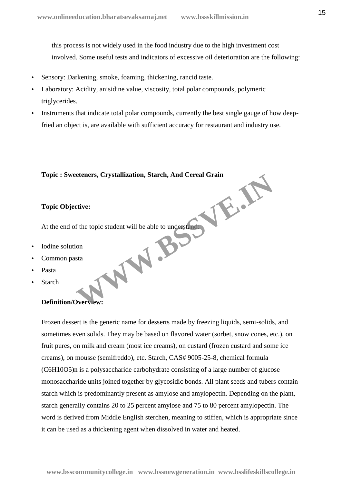this process is not widely used in the food industry due to the high investment cost involved. Some useful tests and indicators of excessive oil deterioration are the following:

- Sensory: Darkening, smoke, foaming, thickening, rancid taste.
- Laboratory: Acidity, anisidine value, viscosity, total polar compounds, polymeric triglycerides.
- Instruments that indicate total polar compounds, currently the best single gauge of how deepfried an object is, are available with sufficient accuracy for restaurant and industry use.

# **Topic : Sweeteners, Crystallization, Starch, And Cereal Grain**

# **Topic Objective:**

At the end of the topic student will be able to understand: Topic Objective:<br>
At the end of the topic student will be able to understand<br>
Lodine solution<br>
Common pasta<br>
Pasta<br>
Pasta<br>
Starch<br>
Definition/Overview:

- Iodine solution
- Common pasta
- Pasta
- Starch

Frozen dessert is the generic name for desserts made by freezing liquids, semi-solids, and sometimes even solids. They may be based on flavored water (sorbet, snow cones, etc.), on fruit pures, on milk and cream (most ice creams), on custard (frozen custard and some ice creams), on mousse (semifreddo), etc. Starch, CAS# 9005-25-8, chemical formula (C6H10O5)n is a polysaccharide carbohydrate consisting of a large number of glucose monosaccharide units joined together by glycosidic bonds. All plant seeds and tubers contain starch which is predominantly present as amylose and amylopectin. Depending on the plant, starch generally contains 20 to 25 percent amylose and 75 to 80 percent amylopectin. The word is derived from Middle English sterchen, meaning to stiffen, which is appropriate since it can be used as a thickening agent when dissolved in water and heated.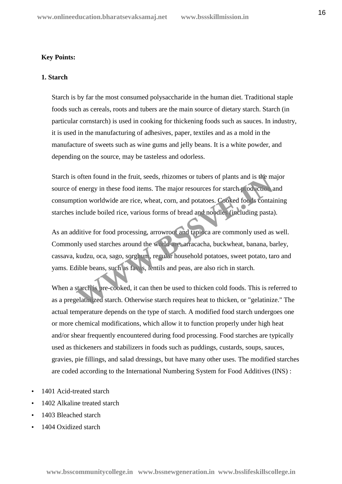# **Key Points:**

### **1. Starch**

Starch is by far the most consumed polysaccharide in the human diet. Traditional staple foods such as cereals, roots and tubers are the main source of dietary starch. Starch (in particular cornstarch) is used in cooking for thickening foods such as sauces. In industry, it is used in the manufacturing of adhesives, paper, textiles and as a mold in the manufacture of sweets such as wine gums and jelly beans. It is a white powder, and depending on the source, may be tasteless and odorless.

Starch is often found in the fruit, seeds, rhizomes or tubers of plants and is the major source of energy in these food items. The major resources for starch production and consumption worldwide are rice, wheat, corn, and potatoes. Cooked foods containing starches include boiled rice, various forms of bread and noodles (including pasta).

As an additive for food processing, arrowroot and tapioca are commonly used as well. Commonly used starches around the world are: arracacha, buckwheat, banana, barley, cassava, kudzu, oca, sago, sorghum, regular household potatoes, sweet potato, taro and yams. Edible beans, such as favas, lentils and peas, are also rich in starch. often found in the fruit, seeds, rhizomes or tubers of plants and is the m<br>f energy in these food items. The major resources for starch production<br>tion worldwide are rice, wheat, corn, and potatoes. Cooked foods contai<br>inc

When a starch is pre-cooked, it can then be used to thicken cold foods. This is referred to as a pregelatinized starch. Otherwise starch requires heat to thicken, or "gelatinize." The actual temperature depends on the type of starch. A modified food starch undergoes one or more chemical modifications, which allow it to function properly under high heat and/or shear frequently encountered during food processing. Food starches are typically used as thickeners and stabilizers in foods such as puddings, custards, soups, sauces, gravies, pie fillings, and salad dressings, but have many other uses. The modified starches are coded according to the International Numbering System for Food Additives (INS) :

- 1401 Acid-treated starch
- 1402 Alkaline treated starch
- 1403 Bleached starch
- 1404 Oxidized starch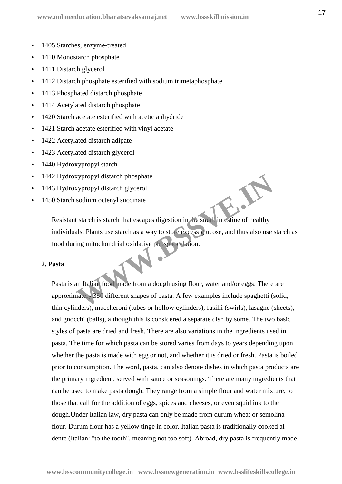- 1405 Starches, enzyme-treated
- 1410 Monostarch phosphate
- 1411 Distarch glycerol
- 1412 Distarch phosphate esterified with sodium trimetaphosphate
- 1413 Phosphated distarch phosphate
- 1414 Acetylated distarch phosphate
- 1420 Starch acetate esterified with acetic anhydride
- 1421 Starch acetate esterified with vinyl acetate
- 1422 Acetylated distarch adipate
- 1423 Acetylated distarch glycerol
- 1440 Hydroxypropyl starch
- 1442 Hydroxypropyl distarch phosphate
- 1443 Hydroxypropyl distarch glycerol
- 1450 Starch sodium octenyl succinate

Resistant starch is starch that escapes digestion in the small intestine of healthy individuals. Plants use starch as a way to store excess glucose, and thus also use starch as food during mitochondrial oxidative phosphorylation. Expropyl distarch phosphate<br>
Expropyl distarch glycerol<br>
Sodium octenyl succinate<br>
Extends in the small intestine of healthy<br>
als. Plants use starch as a way to store excess glucose, and thus also use<br>
ing mitochondrial ox

# **2. Pasta**

Pasta is an Italian food made from a dough using flour, water and/or eggs. There are approximately 350 different shapes of pasta. A few examples include spaghetti (solid, thin cylinders), maccheroni (tubes or hollow cylinders), fusilli (swirls), lasagne (sheets), and gnocchi (balls), although this is considered a separate dish by some. The two basic styles of pasta are dried and fresh. There are also variations in the ingredients used in pasta. The time for which pasta can be stored varies from days to years depending upon whether the pasta is made with egg or not, and whether it is dried or fresh. Pasta is boiled prior to consumption. The word, pasta, can also denote dishes in which pasta products are the primary ingredient, served with sauce or seasonings. There are many ingredients that can be used to make pasta dough. They range from a simple flour and water mixture, to those that call for the addition of eggs, spices and cheeses, or even squid ink to the dough.Under Italian law, dry pasta can only be made from durum wheat or semolina flour. Durum flour has a yellow tinge in color. Italian pasta is traditionally cooked al dente (Italian: "to the tooth", meaning not too soft). Abroad, dry pasta is frequently made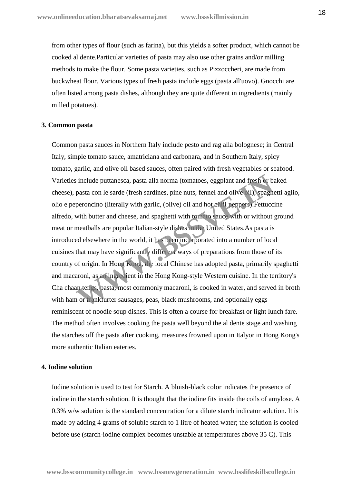from other types of flour (such as farina), but this yields a softer product, which cannot be cooked al dente.Particular varieties of pasta may also use other grains and/or milling methods to make the flour. Some pasta varieties, such as Pizzoccheri, are made from buckwheat flour. Various types of fresh pasta include eggs (pasta all'uovo). Gnocchi are often listed among pasta dishes, although they are quite different in ingredients (mainly milled potatoes).

### **3. Common pasta**

Common pasta sauces in Northern Italy include pesto and rag alla bolognese; in Central Italy, simple tomato sauce, amatriciana and carbonara, and in Southern Italy, spicy tomato, garlic, and olive oil based sauces, often paired with fresh vegetables or seafood. Varieties include puttanesca, pasta alla norma (tomatoes, eggplant and fresh or baked cheese), pasta con le sarde (fresh sardines, pine nuts, fennel and olive oil), spaghetti aglio, olio e peperoncino (literally with garlic, (olive) oil and hot chili peppers).Fettuccine alfredo, with butter and cheese, and spaghetti with tomato sauce with or without ground meat or meatballs are popular Italian-style dishes in the United States.As pasta is introduced elsewhere in the world, it has been incorporated into a number of local cuisines that may have significantly different ways of preparations from those of its country of origin. In Hong Kong, the local Chinese has adopted pasta, primarily spaghetti and macaroni, as an ingredient in the Hong Kong-style Western cuisine. In the territory's Cha chaan tengs, pasta, most commonly macaroni, is cooked in water, and served in broth with ham or frankfurter sausages, peas, black mushrooms, and optionally eggs reminiscent of noodle soup dishes. This is often a course for breakfast or light lunch fare. The method often involves cooking the pasta well beyond the al dente stage and washing the starches off the pasta after cooking, measures frowned upon in Italyor in Hong Kong's more authentic Italian eateries. include puttanesca, pasta alla norma (tomatoes, eggplant and fresh or basta con le sarde (fresh sardines, pine nuts, fennel and olive oil), spagne peroncino (literally with garlic, (olive) oil and hot chili beppers). Fettu

### **4. Iodine solution**

Iodine solution is used to test for Starch. A bluish-black color indicates the presence of iodine in the starch solution. It is thought that the iodine fits inside the coils of amylose. A 0.3% w/w solution is the standard concentration for a dilute starch indicator solution. It is made by adding 4 grams of soluble starch to 1 litre of heated water; the solution is cooled before use (starch-iodine complex becomes unstable at temperatures above 35 C). This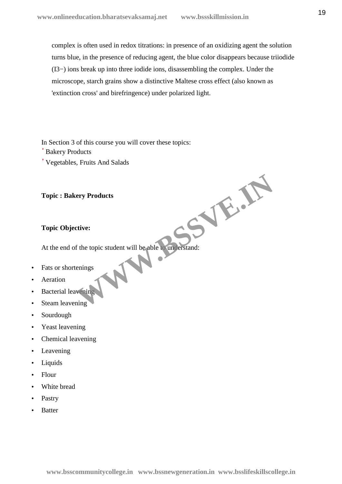complex is often used in redox titrations: in presence of an oxidizing agent the solution turns blue, in the presence of reducing agent, the blue color disappears because triiodide (I3−) ions break up into three iodide ions, disassembling the complex. Under the microscope, starch grains show a distinctive Maltese cross effect (also known as 'extinction cross' and birefringence) under polarized light.

In Section 3 of this course you will cover these topics:

Bakery Products

Vegetables, Fruits And Salads

# **Topic : Bakery Products**

# **Topic Objective:**

At the end of the topic student will be able to understand: **WASSER** 

- Fats or shortenings
- Aeration
- Bacterial leavening
- Steam leavening
- Sourdough
- Yeast leavening
- Chemical leavening
- Leavening
- Liquids
- Flour
- White bread
- Pastry
- Batter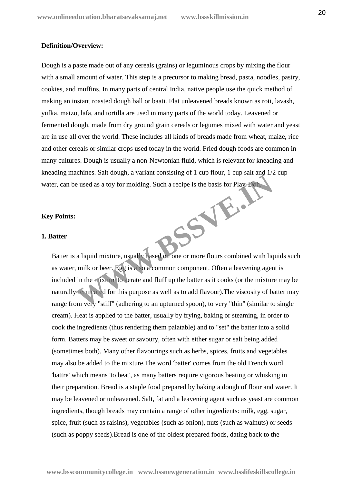### **Definition/Overview:**

Dough is a paste made out of any cereals (grains) or leguminous crops by mixing the flour with a small amount of water. This step is a precursor to making bread, pasta, noodles, pastry, cookies, and muffins. In many parts of central India, native people use the quick method of making an instant roasted dough ball or baati. Flat unleavened breads known as roti, lavash, yufka, matzo, lafa, and tortilla are used in many parts of the world today. Leavened or fermented dough, made from dry ground grain cereals or legumes mixed with water and yeast are in use all over the world. These includes all kinds of breads made from wheat, maize, rice and other cereals or similar crops used today in the world. Fried dough foods are common in many cultures. Dough is usually a non-Newtonian fluid, which is relevant for kneading and kneading machines. Salt dough, a variant consisting of 1 cup flour, 1 cup salt and 1/2 cup water, can be used as a toy for molding. Such a recipe is the basis for Play-Doh. **WWW.BSSVE.IN**

### **Key Points:**

# **1. Batter**

Batter is a liquid mixture, usually based on one or more flours combined with liquids such as water, milk or beer. Egg is also a common component. Often a leavening agent is included in the mixture to aerate and fluff up the batter as it cooks (or the mixture may be naturally fermented for this purpose as well as to add flavour).The viscosity of batter may range from very "stiff" (adhering to an upturned spoon), to very "thin" (similar to single cream). Heat is applied to the batter, usually by frying, baking or steaming, in order to cook the ingredients (thus rendering them palatable) and to "set" the batter into a solid form. Batters may be sweet or savoury, often with either sugar or salt being added (sometimes both). Many other flavourings such as herbs, spices, fruits and vegetables may also be added to the mixture.The word 'batter' comes from the old French word 'battre' which means 'to beat', as many batters require vigorous beating or whisking in their preparation. Bread is a staple food prepared by baking a dough of flour and water. It may be leavened or unleavened. Salt, fat and a leavening agent such as yeast are common ingredients, though breads may contain a range of other ingredients: milk, egg, sugar, spice, fruit (such as raisins), vegetables (such as onion), nuts (such as walnuts) or seeds (such as poppy seeds).Bread is one of the oldest prepared foods, dating back to the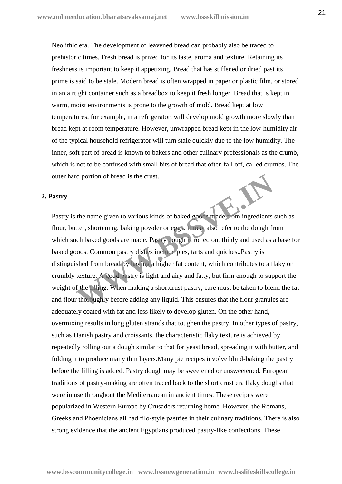Neolithic era. The development of leavened bread can probably also be traced to prehistoric times. Fresh bread is prized for its taste, aroma and texture. Retaining its freshness is important to keep it appetizing. Bread that has stiffened or dried past its prime is said to be stale. Modern bread is often wrapped in paper or plastic film, or stored in an airtight container such as a breadbox to keep it fresh longer. Bread that is kept in warm, moist environments is prone to the growth of mold. Bread kept at low temperatures, for example, in a refrigerator, will develop mold growth more slowly than bread kept at room temperature. However, unwrapped bread kept in the low-humidity air of the typical household refrigerator will turn stale quickly due to the low humidity. The inner, soft part of bread is known to bakers and other culinary professionals as the crumb, which is not to be confused with small bits of bread that often fall off, called crumbs. The outer hard portion of bread is the crust.

#### **2. Pastry**

Pastry is the name given to various kinds of baked goods made from ingredients such as flour, butter, shortening, baking powder or eggs. It may also refer to the dough from which such baked goods are made. Pastry dough is rolled out thinly and used as a base for baked goods. Common pastry dishes include pies, tarts and quiches..Pastry is distinguished from bread by having a higher fat content, which contributes to a flaky or crumbly texture. A good pastry is light and airy and fatty, but firm enough to support the weight of the filling. When making a shortcrust pastry, care must be taken to blend the fat and flour thoroughly before adding any liquid. This ensures that the flour granules are adequately coated with fat and less likely to develop gluten. On the other hand, overmixing results in long gluten strands that toughen the pastry. In other types of pastry, such as Danish pastry and croissants, the characteristic flaky texture is achieved by repeatedly rolling out a dough similar to that for yeast bread, spreading it with butter, and folding it to produce many thin layers.Many pie recipes involve blind-baking the pastry before the filling is added. Pastry dough may be sweetened or unsweetened. European traditions of pastry-making are often traced back to the short crust era flaky doughs that were in use throughout the Mediterranean in ancient times. These recipes were popularized in Western Europe by Crusaders returning home. However, the Romans, Greeks and Phoenicians all had filo-style pastries in their culinary traditions. There is also strong evidence that the ancient Egyptians produced pastry-like confections. These The name given to various kinds of baked good made from ingredients<br>then ame given to various kinds of baked good made from ingredients<br>ter, shortening, baking powder or eggs. It may also refer to the dough fr<br>ch baked goo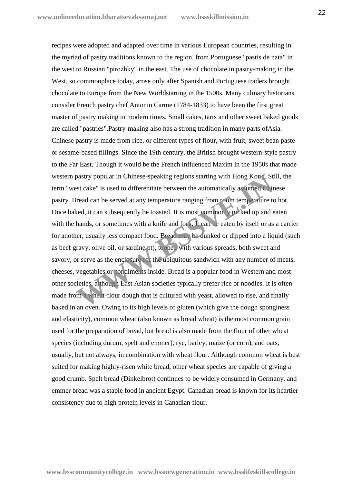recipes were adopted and adapted over time in various European countries, resulting in the myriad of pastry traditions known to the region, from Portuguese "pastis de nata" in the west to Russian "pirozhky" in the east. The use of chocolate in pastry-making in the West, so commonplace today, arose only after Spanish and Portuguese traders brought chocolate to Europe from the New Worldstarting in the 1500s. Many culinary historians consider French pastry chef Antonin Carme (1784-1833) to have been the first great master of pastry making in modern times. Small cakes, tarts and other sweet baked goods are called "pastries".Pastry-making also has a strong tradition in many parts ofAsia. Chinese pastry is made from rice, or different types of flour, with fruit, sweet bean paste or sesame-based fillings. Since the 19th century, the British brought western-style pastry to the Far East. Though it would be the French influenced Maxim in the 1950s that made western pastry popular in Chinese-speaking regions starting with Hong Kong. Still, the term "west cake" is used to differentiate between the automatically assumed Chinese pastry. Bread can be served at any temperature ranging from room temperature to hot. Once baked, it can subsequently be toasted. It is most commonly picked up and eaten with the hands, or sometimes with a knife and fork. It can be eaten by itself or as a carrier for another, usually less compact food. Bread may be dunked or dipped into a liquid (such as beef gravy, olive oil, or sardine pt), topped with various spreads, both sweet and savory, or serve as the enclosure for the ubiquitous sandwich with any number of meats, cheeses, vegetables or condiments inside. Bread is a popular food in Western and most other societies, although East Asian societies typically prefer rice or noodles. It is often made from a wheat-flour dough that is cultured with yeast, allowed to rise, and finally baked in an oven. Owing to its high levels of gluten (which give the dough sponginess and elasticity), common wheat (also known as bread wheat) is the most common grain used for the preparation of bread, but bread is also made from the flour of other wheat species (including durum, spelt and emmer), rye, barley, maize (or corn), and oats, usually, but not always, in combination with wheat flour. Although common wheat is best suited for making highly-risen white bread, other wheat species are capable of giving a good crumb. Spelt bread (Dinkelbrot) continues to be widely consumed in Germany, and emmer bread was a staple food in ancient Egypt. Canadian bread is known for its heartier pastry popular in Chinese-speaking regions starting with Hong Kong. St<br>st cake" is used to differentiate between the automatically as umed Chinese<br>for the automatically as umed Chinese of the automatical of the automatical

consistency due to high protein levels in Canadian flour.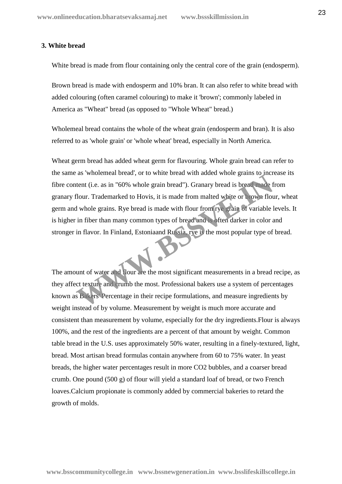# **3. White bread**

White bread is made from flour containing only the central core of the grain (endosperm).

Brown bread is made with endosperm and 10% bran. It can also refer to white bread with added colouring (often caramel colouring) to make it 'brown'; commonly labeled in America as "Wheat" bread (as opposed to "Whole Wheat" bread.)

Wholemeal bread contains the whole of the wheat grain (endosperm and bran). It is also referred to as 'whole grain' or 'whole wheat' bread, especially in North America.

Wheat germ bread has added wheat germ for flavouring. Whole grain bread can refer to the same as 'wholemeal bread', or to white bread with added whole grains to increase its fibre content (i.e. as in "60% whole grain bread"). Granary bread is bread made from granary flour. Trademarked to Hovis, it is made from malted white or brown flour, wheat germ and whole grains. Rye bread is made with flour from rye grain of variable levels. It is higher in fiber than many common types of bread and is often darker in color and stronger in flavor. In Finland, Estoniaand Russia, rye is the most popular type of bread. The Machinean order of the Windows of the Machinean order (i.e. as in "60% whole grain bread"). Granary bread is bread and properties of the divide of the Machinean order of the United White or the Machinean order of the U

The amount of water and flour are the most significant measurements in a bread recipe, as they affect texture and crumb the most. Professional bakers use a system of percentages known as Bakers' Percentage in their recipe formulations, and measure ingredients by weight instead of by volume. Measurement by weight is much more accurate and consistent than measurement by volume, especially for the dry ingredients.Flour is always 100%, and the rest of the ingredients are a percent of that amount by weight. Common table bread in the U.S. uses approximately 50% water, resulting in a finely-textured, light, bread. Most artisan bread formulas contain anywhere from 60 to 75% water. In yeast breads, the higher water percentages result in more CO2 bubbles, and a coarser bread crumb. One pound (500 g) of flour will yield a standard loaf of bread, or two French loaves.Calcium propionate is commonly added by commercial bakeries to retard the growth of molds.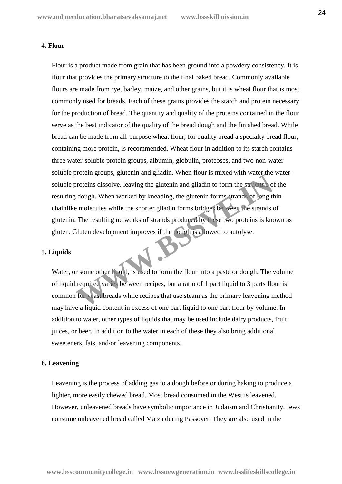#### **4. Flour**

Flour is a product made from grain that has been ground into a powdery consistency. It is flour that provides the primary structure to the final baked bread. Commonly available flours are made from rye, barley, maize, and other grains, but it is wheat flour that is most commonly used for breads. Each of these grains provides the starch and protein necessary for the production of bread. The quantity and quality of the proteins contained in the flour serve as the best indicator of the quality of the bread dough and the finished bread. While bread can be made from all-purpose wheat flour, for quality bread a specialty bread flour, containing more protein, is recommended. Wheat flour in addition to its starch contains three water-soluble protein groups, albumin, globulin, proteoses, and two non-water soluble protein groups, glutenin and gliadin. When flour is mixed with water the watersoluble proteins dissolve, leaving the glutenin and gliadin to form the structure of the resulting dough. When worked by kneading, the glutenin forms strands of long thin chainlike molecules while the shorter gliadin forms bridges between the strands of glutenin. The resulting networks of strands produced by these two proteins is known as gluten. Gluten development improves if the dough is allowed to autolyse. From Broadway, Euchara and Brandeline With Machine With Machine Stroches dissolve, leaving the glutenin and gliadin to form the structure of dough. When worked by kneading, the glutenin forms trands of long the molecules w

### **5. Liquids**

Water, or some other liquid, is used to form the flour into a paste or dough. The volume of liquid required varies between recipes, but a ratio of 1 part liquid to 3 parts flour is common for yeast breads while recipes that use steam as the primary leavening method may have a liquid content in excess of one part liquid to one part flour by volume. In addition to water, other types of liquids that may be used include dairy products, fruit juices, or beer. In addition to the water in each of these they also bring additional sweeteners, fats, and/or leavening components.

### **6. Leavening**

Leavening is the process of adding gas to a dough before or during baking to produce a lighter, more easily chewed bread. Most bread consumed in the West is leavened. However, unleavened breads have symbolic importance in Judaism and Christianity. Jews consume unleavened bread called Matza during Passover. They are also used in the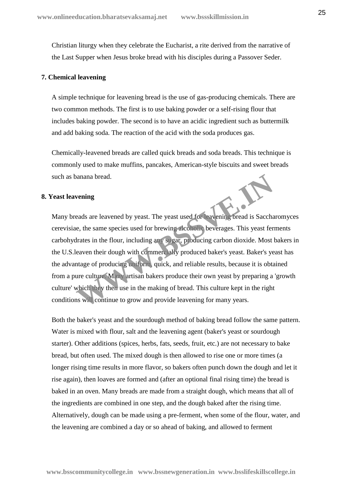Christian liturgy when they celebrate the Eucharist, a rite derived from the narrative of the Last Supper when Jesus broke bread with his disciples during a Passover Seder.

### **7. Chemical leavening**

A simple technique for leavening bread is the use of gas-producing chemicals. There are two common methods. The first is to use baking powder or a self-rising flour that includes baking powder. The second is to have an acidic ingredient such as buttermilk and add baking soda. The reaction of the acid with the soda produces gas.

Chemically-leavened breads are called quick breads and soda breads. This technique is commonly used to make muffins, pancakes, American-style biscuits and sweet breads such as banana bread.

### **8. Yeast leavening**

Many breads are leavened by yeast. The yeast used for leavening bread is Saccharomyces cerevisiae, the same species used for brewing alcoholic beverages. This yeast ferments carbohydrates in the flour, including any sugar, producing carbon dioxide. Most bakers in the U.S.leaven their dough with commercially produced baker's yeast. Baker's yeast has the advantage of producing uniform, quick, and reliable results, because it is obtained from a pure culture. Many artisan bakers produce their own yeast by preparing a 'growth culture' which they then use in the making of bread. This culture kept in the right conditions will continue to grow and provide leavening for many years. **Example 19 Second Second Second Second Second Second Second Second Second Second Second<br>
Reads are leavened by yeast. The yeast used for Leavening bread is Saccha<br>
Reads are leavened by yeast. The yeast used for Leavening** 

Both the baker's yeast and the sourdough method of baking bread follow the same pattern. Water is mixed with flour, salt and the leavening agent (baker's yeast or sourdough starter). Other additions (spices, herbs, fats, seeds, fruit, etc.) are not necessary to bake bread, but often used. The mixed dough is then allowed to rise one or more times (a longer rising time results in more flavor, so bakers often punch down the dough and let it rise again), then loaves are formed and (after an optional final rising time) the bread is baked in an oven. Many breads are made from a straight dough, which means that all of the ingredients are combined in one step, and the dough baked after the rising time. Alternatively, dough can be made using a pre-ferment, when some of the flour, water, and the leavening are combined a day or so ahead of baking, and allowed to ferment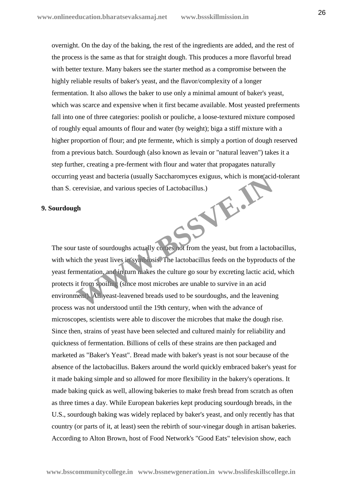overnight. On the day of the baking, the rest of the ingredients are added, and the rest of the process is the same as that for straight dough. This produces a more flavorful bread with better texture. Many bakers see the starter method as a compromise between the highly reliable results of baker's yeast, and the flavor/complexity of a longer fermentation. It also allows the baker to use only a minimal amount of baker's yeast, which was scarce and expensive when it first became available. Most yeasted preferments fall into one of three categories: poolish or pouliche, a loose-textured mixture composed of roughly equal amounts of flour and water (by weight); biga a stiff mixture with a higher proportion of flour; and pte fermente, which is simply a portion of dough reserved from a previous batch. Sourdough (also known as levain or "natural leaven") takes it a step further, creating a pre-ferment with flour and water that propagates naturally occurring yeast and bacteria (usually Saccharomyces exiguus, which is more acid-tolerant than S. cerevisiae, and various species of Lactobacillus.) **WWW.BSSVE.IN**

### **9. Sourdough**

The sour taste of sourdoughs actually comes not from the yeast, but from a lactobacillus, with which the yeast lives in symbiosis. The lactobacillus feeds on the byproducts of the yeast fermentation, and in turn makes the culture go sour by excreting lactic acid, which protects it from spoiling (since most microbes are unable to survive in an acid environment). All yeast-leavened breads used to be sourdoughs, and the leavening process was not understood until the 19th century, when with the advance of microscopes, scientists were able to discover the microbes that make the dough rise. Since then, strains of yeast have been selected and cultured mainly for reliability and quickness of fermentation. Billions of cells of these strains are then packaged and marketed as "Baker's Yeast". Bread made with baker's yeast is not sour because of the absence of the lactobacillus. Bakers around the world quickly embraced baker's yeast for it made baking simple and so allowed for more flexibility in the bakery's operations. It made baking quick as well, allowing bakeries to make fresh bread from scratch as often as three times a day. While European bakeries kept producing sourdough breads, in the U.S., sourdough baking was widely replaced by baker's yeast, and only recently has that country (or parts of it, at least) seen the rebirth of sour-vinegar dough in artisan bakeries. According to Alton Brown, host of Food Network's "Good Eats" television show, each

**www.bsscommunitycollege.in www.bssnewgeneration.in www.bsslifeskillscollege.in**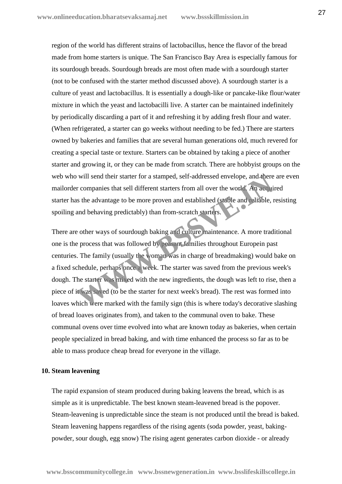region of the world has different strains of lactobacillus, hence the flavor of the bread made from home starters is unique. The San Francisco Bay Area is especially famous for its sourdough breads. Sourdough breads are most often made with a sourdough starter (not to be confused with the starter method discussed above). A sourdough starter is a culture of yeast and lactobacillus. It is essentially a dough-like or pancake-like flour/water mixture in which the yeast and lactobacilli live. A starter can be maintained indefinitely by periodically discarding a part of it and refreshing it by adding fresh flour and water. (When refrigerated, a starter can go weeks without needing to be fed.) There are starters owned by bakeries and families that are several human generations old, much revered for creating a special taste or texture. Starters can be obtained by taking a piece of another starter and growing it, or they can be made from scratch. There are hobbyist groups on the web who will send their starter for a stamped, self-addressed envelope, and there are even mailorder companies that sell different starters from all over the world. An acquired starter has the advantage to be more proven and established (stable and reliable, resisting spoiling and behaving predictably) than from-scratch starters.

There are other ways of sourdough baking and culture maintenance. A more traditional one is the process that was followed by peasant families throughout Europein past centuries. The family (usually the woman was in charge of breadmaking) would bake on a fixed schedule, perhaps once a week. The starter was saved from the previous week's dough. The starter was mixed with the new ingredients, the dough was left to rise, then a piece of it was saved (to be the starter for next week's bread). The rest was formed into loaves which were marked with the family sign (this is where today's decorative slashing of bread loaves originates from), and taken to the communal oven to bake. These communal ovens over time evolved into what are known today as bakeries, when certain people specialized in bread baking, and with time enhanced the process so far as to be able to mass produce cheap bread for everyone in the village. Will send their starter for a stamped, self-addressed envelope, and there<br>is the advantage to be more proven and established (stable and eliable, it<br>and behaving predictably) than from-scratch starters.<br>and behaving predic

# **10. Steam leavening**

The rapid expansion of steam produced during baking leavens the bread, which is as simple as it is unpredictable. The best known steam-leavened bread is the popover. Steam-leavening is unpredictable since the steam is not produced until the bread is baked. Steam leavening happens regardless of the rising agents (soda powder, yeast, baking powder, sour dough, egg snow) The rising agent generates carbon dioxide - or already

**www.bsscommunitycollege.in www.bssnewgeneration.in www.bsslifeskillscollege.in**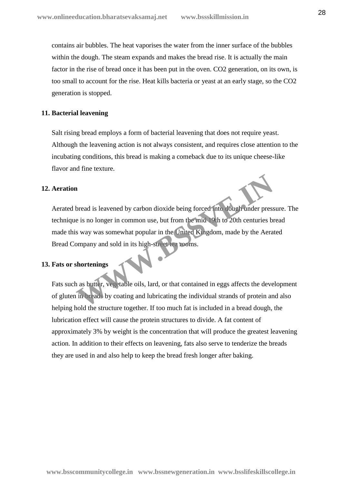contains air bubbles. The heat vaporises the water from the inner surface of the bubbles within the dough. The steam expands and makes the bread rise. It is actually the main factor in the rise of bread once it has been put in the oven. CO2 generation, on its own, is too small to account for the rise. Heat kills bacteria or yeast at an early stage, so the CO2 generation is stopped.

### **11. Bacterial leavening**

Salt rising bread employs a form of bacterial leavening that does not require yeast. Although the leavening action is not always consistent, and requires close attention to the incubating conditions, this bread is making a comeback due to its unique cheese-like flavor and fine texture.

### **12. Aeration**

Aerated bread is leavened by carbon dioxide being forced into dough under pressure. The technique is no longer in common use, but from the mid 19th to 20th centuries bread made this way was somewhat popular in the United Kingdom, made by the Aerated Bread Company and sold in its high-street tea rooms. the distance of the control of the thin the studies of the control of the total of the total of the studies of the studies of the control of the studies of the studies of the studies of the studies of the studies of the st

# **13. Fats or shortenings**

Fats such as butter, vegetable oils, lard, or that contained in eggs affects the development of gluten in breads by coating and lubricating the individual strands of protein and also helping hold the structure together. If too much fat is included in a bread dough, the lubrication effect will cause the protein structures to divide. A fat content of approximately 3% by weight is the concentration that will produce the greatest leavening action. In addition to their effects on leavening, fats also serve to tenderize the breads they are used in and also help to keep the bread fresh longer after baking.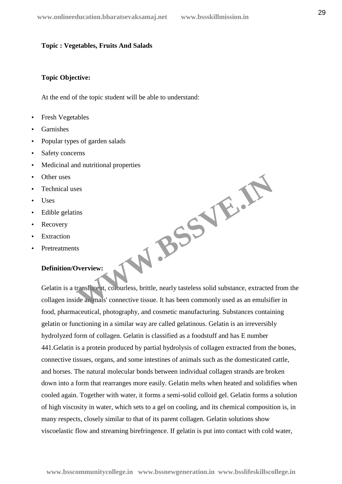# **Topic : Vegetables, Fruits And Salads**

### **Topic Objective:**

At the end of the topic student will be able to understand:

- Fresh Vegetables
- Garnishes
- Popular types of garden salads
- Safety concerns
- Medicinal and nutritional properties
- Other uses
- Technical uses
- Uses
- Edible gelatins
- Recovery
- Extraction
- Pretreatments

### **Definition/Overview:**

Gelatin is a translucent, colourless, brittle, nearly tasteless solid substance, extracted from the collagen inside animals' connective tissue. It has been commonly used as an emulsifier in food, pharmaceutical, photography, and cosmetic manufacturing. Substances containing gelatin or functioning in a similar way are called gelatinous. Gelatin is an irreversibly hydrolyzed form of collagen. Gelatin is classified as a foodstuff and has E number 441.Gelatin is a protein produced by partial hydrolysis of collagen extracted from the bones, connective tissues, organs, and some intestines of animals such as the domesticated cattle, and horses. The natural molecular bonds between individual collagen strands are broken down into a form that rearranges more easily. Gelatin melts when heated and solidifies when cooled again. Together with water, it forms a semi-solid colloid gel. Gelatin forms a solution of high viscosity in water, which sets to a gel on cooling, and its chemical composition is, in many respects, closely similar to that of its parent collagen. Gelatin solutions show viscoelastic flow and streaming birefringence. If gelatin is put into contact with cold water, **WWW.BSSVE.IN**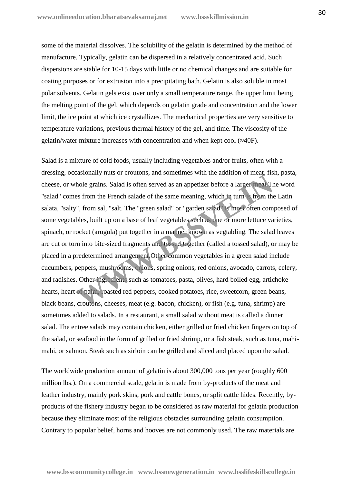some of the material dissolves. The solubility of the gelatin is determined by the method of manufacture. Typically, gelatin can be dispersed in a relatively concentrated acid. Such dispersions are stable for 10-15 days with little or no chemical changes and are suitable for coating purposes or for extrusion into a precipitating bath. Gelatin is also soluble in most polar solvents. Gelatin gels exist over only a small temperature range, the upper limit being the melting point of the gel, which depends on gelatin grade and concentration and the lower limit, the ice point at which ice crystallizes. The mechanical properties are very sensitive to temperature variations, previous thermal history of the gel, and time. The viscosity of the gelatin/water mixture increases with concentration and when kept cool  $(40F)$ .

Salad is a mixture of cold foods, usually including vegetables and/or fruits, often with a dressing, occasionally nuts or croutons, and sometimes with the addition of meat, fish, pasta, cheese, or whole grains. Salad is often served as an appetizer before a larger meal.The word "salad" comes from the French salade of the same meaning, which in turn is from the Latin salata, "salty", from sal, "salt. The "green salad" or "garden salad" is most often composed of some vegetables, built up on a base of leaf vegetables such as one or more lettuce varieties, spinach, or rocket (arugula) put together in a manner known as vegtabling. The salad leaves are cut or torn into bite-sized fragments and tossed together (called a tossed salad), or may be placed in a predetermined arrangement.Other common vegetables in a green salad include cucumbers, peppers, mushrooms, onions, spring onions, red onions, avocado, carrots, celery, and radishes. Other ingredients such as tomatoes, pasta, olives, hard boiled egg, artichoke hearts, heart of palm, roasted red peppers, cooked potatoes, rice, sweetcorn, green beans, black beans, croutons, cheeses, meat (e.g. bacon, chicken), or fish (e.g. tuna, shrimp) are sometimes added to salads. In a restaurant, a small salad without meat is called a dinner salad. The entree salads may contain chicken, either grilled or fried chicken fingers on top of the salad, or seafood in the form of grilled or fried shrimp, or a fish steak, such as tuna, mahi mahi, or salmon. Steak such as sirloin can be grilled and sliced and placed upon the salad. assonally hals or erotating, and sometimes with the didnformal reads, its<br>hole grains. Salad is often served as an appetizer before a larger meal. The<br>whole grains. Salad is often served as an appetizer before a larger mea

The worldwide production amount of gelatin is about 300,000 tons per year (roughly 600 million lbs.). On a commercial scale, gelatin is made from by-products of the meat and leather industry, mainly pork skins, pork and cattle bones, or split cattle hides. Recently, by products of the fishery industry began to be considered as raw material for gelatin production because they eliminate most of the religious obstacles surrounding gelatin consumption. Contrary to popular belief, horns and hooves are not commonly used. The raw materials are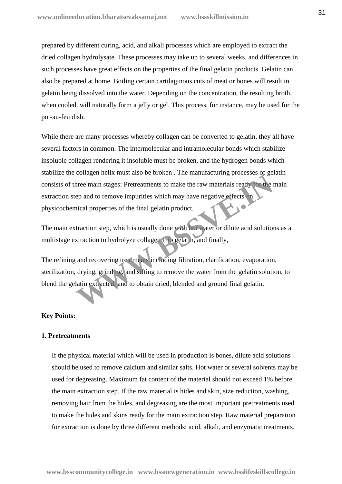prepared by different curing, acid, and alkali processes which are employed to extract the dried collagen hydrolysate. These processes may take up to several weeks, and differences in such processes have great effects on the properties of the final gelatin products. Gelatin can also be prepared at home. Boiling certain cartilaginous cuts of meat or bones will result in gelatin being dissolved into the water. Depending on the concentration, the resulting broth, when cooled, will naturally form a jelly or gel. This process, for instance, may be used for the pot-au-feu dish.

While there are many processes whereby collagen can be converted to gelatin, they all have several factors in common. The intermolecular and intramolecular bonds which stabilize insoluble collagen rendering it insoluble must be broken, and the hydrogen bonds which stabilize the collagen helix must also be broken . The manufacturing processes of gelatin consists of three main stages: Pretreatments to make the raw materials ready for the main extraction step and to remove impurities which may have negative effects on physicochemical properties of the final gelatin product, From the state of the the raw materials ready for the raw materials ready for the ray and to remove impurities which may have negative effects in the racial properties of the final gelatin product, traction step, which is

The main extraction step, which is usually done with hot water or dilute acid solutions as a multistage extraction to hydrolyze collagen into gelatin, and finally,

The refining and recovering treatments including filtration, clarification, evaporation, sterilization, drying, grinding, and sifting to remove the water from the gelatin solution, to blend the gelatin extracted, and to obtain dried, blended and ground final gelatin.

### **Key Points:**

### **1. Pretreatments**

If the physical material which will be used in production is bones, dilute acid solutions should be used to remove calcium and similar salts. Hot water or several solvents may be used for degreasing. Maximum fat content of the material should not exceed 1% before the main extraction step. If the raw material is hides and skin, size reduction, washing, removing hair from the hides, and degreasing are the most important pretreatments used to make the hides and skins ready for the main extraction step. Raw material preparation for extraction is done by three different methods: acid, alkali, and enzymatic treatments.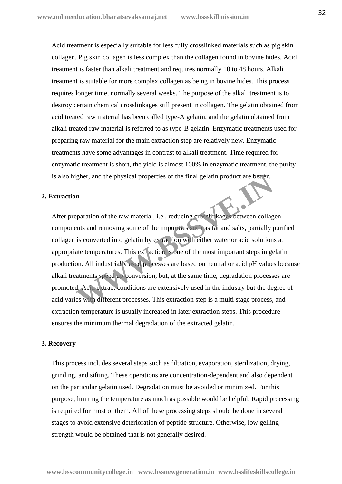Acid treatment is especially suitable for less fully crosslinked materials such as pig skin collagen. Pig skin collagen is less complex than the collagen found in bovine hides. Acid treatment is faster than alkali treatment and requires normally 10 to 48 hours. Alkali treatment is suitable for more complex collagen as being in bovine hides. This process requires longer time, normally several weeks. The purpose of the alkali treatment is to destroy certain chemical crosslinkages still present in collagen. The gelatin obtained from acid treated raw material has been called type-A gelatin, and the gelatin obtained from alkali treated raw material is referred to as type-B gelatin. Enzymatic treatments used for preparing raw material for the main extraction step are relatively new. Enzymatic treatments have some advantages in contrast to alkali treatment. Time required for enzymatic treatment is short, the yield is almost 100% in enzymatic treatment, the purity is also higher, and the physical properties of the final gelatin product are better.

### **2. Extraction**

After preparation of the raw material, i.e., reducing crosslinkages between collagen components and removing some of the impurities such as fat and salts, partially purified collagen is converted into gelatin by extraction with either water or acid solutions at appropriate temperatures. This extraction is one of the most important steps in gelatin production. All industrially used processes are based on neutral or acid pH values because alkali treatments speed up conversion, but, at the same time, degradation processes are promoted. Acid extract conditions are extensively used in the industry but the degree of acid varies with different processes. This extraction step is a multi stage process, and extraction temperature is usually increased in later extraction steps. This procedure ensures the minimum thermal degradation of the extracted gelatin. gher, and the physical properties of the final gelatin product are better.<br> **M**<br> **M**<br>
paration of the raw material, i.e., reducing cross-linkages between collagents and removing some of the impurities such as fat and salts

### **3. Recovery**

This process includes several steps such as filtration, evaporation, sterilization, drying, grinding, and sifting. These operations are concentration-dependent and also dependent on the particular gelatin used. Degradation must be avoided or minimized. For this purpose, limiting the temperature as much as possible would be helpful. Rapid processing is required for most of them. All of these processing steps should be done in several stages to avoid extensive deterioration of peptide structure. Otherwise, low gelling strength would be obtained that is not generally desired.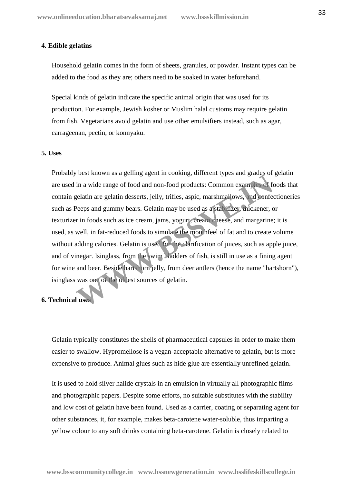# **4. Edible gelatins**

Household gelatin comes in the form of sheets, granules, or powder. Instant types can be added to the food as they are; others need to be soaked in water beforehand.

Special kinds of gelatin indicate the specific animal origin that was used for its production. For example, Jewish kosher or Muslim halal customs may require gelatin from fish. Vegetarians avoid gelatin and use other emulsifiers instead, such as agar, carrageenan, pectin, or konnyaku.

#### **5. Uses**

Probably best known as a gelling agent in cooking, different types and grades of gelatin are used in a wide range of food and non-food products: Common examples of foods that contain gelatin are gelatin desserts, jelly, trifles, aspic, marshmallows, and confectioneries such as Peeps and gummy bears. Gelatin may be used as a stabilizer, thickener, or texturizer in foods such as ice cream, jams, yogurt, cream cheese, and margarine; it is used, as well, in fat-reduced foods to simulate the mouthfeel of fat and to create volume without adding calories. Gelatin is used for the clarification of juices, such as apple juice, and of vinegar. Isinglass, from the swim bladders of fish, is still in use as a fining agent for wine and beer. Beside hartshorn jelly, from deer antlers (hence the name "hartshorn"), isinglass was one of the oldest sources of gelatin. best known as a gening agent in cooking, uncertainty pessatia grades of<br>in a wide range of food and non-food products: Common examples of for<br>elatin are gelatin desserts, jelly, trifles, aspic, marshmallows, and confec<br>Pee

### **6. Technical uses**

Gelatin typically constitutes the shells of pharmaceutical capsules in order to make them easier to swallow. Hypromellose is a vegan-acceptable alternative to gelatin, but is more expensive to produce. Animal glues such as hide glue are essentially unrefined gelatin.

It is used to hold silver halide crystals in an emulsion in virtually all photographic films and photographic papers. Despite some efforts, no suitable substitutes with the stability and low cost of gelatin have been found. Used as a carrier, coating or separating agent for other substances, it, for example, makes beta-carotene water-soluble, thus imparting a yellow colour to any soft drinks containing beta-carotene. Gelatin is closely related to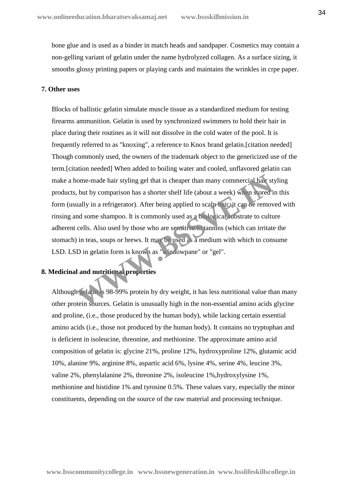bone glue and is used as a binder in match heads and sandpaper. Cosmetics may contain a non-gelling variant of gelatin under the name hydrolyzed collagen. As a surface sizing, it smooths glossy printing papers or playing cards and maintains the wrinkles in crpe paper.

### **7. Other uses**

Blocks of ballistic gelatin simulate muscle tissue as a standardized medium for testing firearms ammunition. Gelatin is used by synchronized swimmers to hold their hair in place during their routines as it will not dissolve in the cold water of the pool. It is frequently referred to as "knoxing", a reference to Knox brand gelatin.[citation needed] Though commonly used, the owners of the trademark object to the genericized use of the term.[citation needed] When added to boiling water and cooled, unflavored gelatin can make a home-made hair styling gel that is cheaper than many commercial hair styling products, but by comparison has a shorter shelf life (about a week) when stored in this form (usually in a refrigerator). After being applied to scalp hair, it can be removed with rinsing and some shampoo. It is commonly used as a biological substrate to culture adherent cells. Also used by those who are sensitive to tannins (which can irritate the stomach) in teas, soups or brews. It may be used as a medium with which to consume LSD. LSD in gelatin form is known as "windowpane" or "gel". From the matter shares are about the non-essential mino acids<br>
1. but by comparison has a shorter shelf life (about a week) when stored if<br>
wally in a refrigerator). After being applied to scalar in it can be removed<br>
1. T

# **8. Medicinal and nutritional properties**

Although gelatin is 98-99% protein by dry weight, it has less nutritional value than many other protein sources. Gelatin is unusually high in the non-essential amino acids glycine and proline, (i.e., those produced by the human body), while lacking certain essential amino acids (i.e., those not produced by the human body). It contains no tryptophan and is deficient in isoleucine, threonine, and methionine. The approximate amino acid composition of gelatin is: glycine 21%, proline 12%, hydroxyproline 12%, glutamic acid 10%, alanine 9%, arginine 8%, aspartic acid 6%, lysine 4%, serine 4%, leucine 3%, valine 2%, phenylalanine 2%, threonine 2%, isoleucine 1%,hydroxylysine 1%, methionine and histidine 1% and tyrosine 0.5%. These values vary, especially the minor constituents, depending on the source of the raw material and processing technique.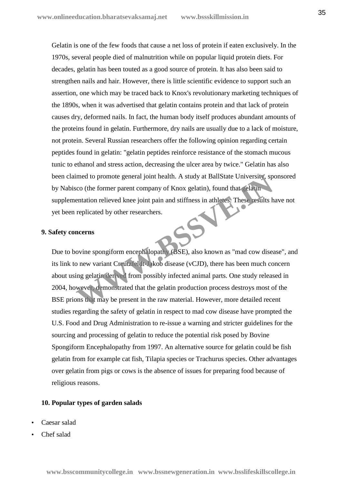Gelatin is one of the few foods that cause a net loss of protein if eaten exclusively. In the 1970s, several people died of malnutrition while on popular liquid protein diets. For decades, gelatin has been touted as a good source of protein. It has also been said to strengthen nails and hair. However, there is little scientific evidence to support such an assertion, one which may be traced back to Knox's revolutionary marketing techniques of the 1890s, when it was advertised that gelatin contains protein and that lack of protein causes dry, deformed nails. In fact, the human body itself produces abundant amounts of the proteins found in gelatin. Furthermore, dry nails are usually due to a lack of moisture, not protein. Several Russian researchers offer the following opinion regarding certain peptides found in gelatin: "gelatin peptides reinforce resistance of the stomach mucous tunic to ethanol and stress action, decreasing the ulcer area by twice." Gelatin has also been claimed to promote general joint health. A study at BallState University, sponsored by Nabisco (the former parent company of Knox gelatin), found that gelatin supplementation relieved knee joint pain and stiffness in athletes. These results have not yet been replicated by other researchers.

# **9. Safety concerns**

Due to bovine spongiform encephalopathy (BSE), also known as "mad cow disease", and its link to new variant Creutzfeldt-Jakob disease (vCJD), there has been much concern about using gelatin derived from possibly infected animal parts. One study released in 2004, however, demonstrated that the gelatin production process destroys most of the BSE prions that may be present in the raw material. However, more detailed recent studies regarding the safety of gelatin in respect to mad cow disease have prompted the U.S. Food and Drug Administration to re-issue a warning and stricter guidelines for the sourcing and processing of gelatin to reduce the potential risk posed by Bovine Spongiform Encephalopathy from 1997. An alternative source for gelatin could be fish gelatin from for example cat fish, Tilapia species or Trachurus species. Other advantages over gelatin from pigs or cows is the absence of issues for preparing food because of religious reasons. France of the former parent company of Knox gelatin), found that elating<br>
exco (the former parent company of Knox gelatin), found that elating<br>
entation relieved knee joint pain and stiffness in athletes. These results h<br>

# **10. Popular types of garden salads**

- Caesar salad
- Chef salad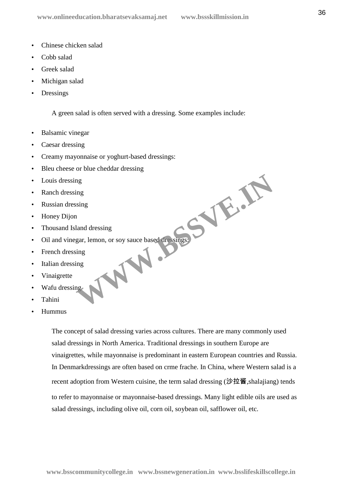- Chinese chicken salad
- Cobb salad
- Greek salad
- Michigan salad
- Dressings

A green salad is often served with a dressing. Some examples include:

- Balsamic vinegar
- Caesar dressing
- Creamy mayonnaise or yoghurt-based dressings:
- Bleu cheese or blue cheddar dressing
- Louis dressing
- Ranch dressing
- Russian dressing
- Honey Dijon
- Thousand Island dressing
- Oil and vinegar, lemon, or soy sauce based dressings<br>French dressing<br>Italian dressing<br>Vinaigrette<br>Wafu dr **WWW.BSSVE.IN**
- French dressing
- Italian dressing
- Vinaigrette
- Wafu dressing
- Tahini
- Hummus

The concept of salad dressing varies across cultures. There are many commonly used salad dressings in North America. Traditional dressings in southern Europe are vinaigrettes, while mayonnaise is predominant in eastern European countries and Russia. In Denmarkdressings are often based on crme frache. In China, where Western salad is a recent adoption from Western cuisine, the term salad dressing (沙拉酱,shalajiang) tends to refer to mayonnaise or mayonnaise-based dressings. Many light edible oils are used as salad dressings, including olive oil, corn oil, soybean oil, safflower oil, etc.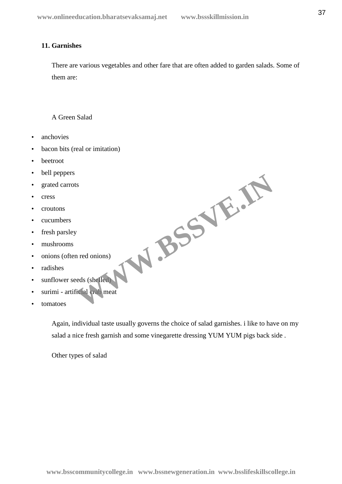# **11. Garnishes**

There are various vegetables and other fare that are often added to garden salads. Some of them are:

# A Green Salad

- anchovies
- bacon bits (real or imitation)
- beetroot
- bell peppers
- grated carrots
- cress
- croutons
- cucumbers
- fresh parsley
- mushrooms
- onions (often red onions)
- radishes
- sunflower seeds (shelled)
- surimi artificial crab meat W.BSSVE.IN
- tomatoes

Again, individual taste usually governs the choice of salad garnishes. i like to have on my salad a nice fresh garnish and some vinegarette dressing YUM YUM pigs back side .

Other types of salad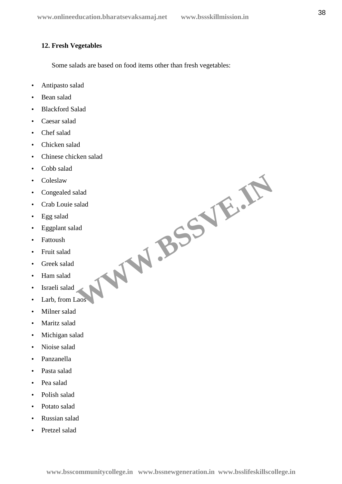# **12. Fresh Vegetables**

Some salads are based on food items other than fresh vegetables:

- Antipasto salad
- Bean salad
- Blackford Salad
- Caesar salad
- Chef salad
- Chicken salad
- Chinese chicken salad WW.BSS<sup>VE.IN</sup>
- Cobb salad
- Coleslaw
- Congealed salad
- Crab Louie salad
- Egg salad
- Eggplant salad
- Fattoush
- Fruit salad
- Greek salad
- Ham salad
- Israeli salad
- Larb, from Laos
- Milner salad
- Maritz salad
- Michigan salad
- Nioise salad
- Panzanella
- Pasta salad
- Pea salad
- Polish salad
- Potato salad
- Russian salad
- Pretzel salad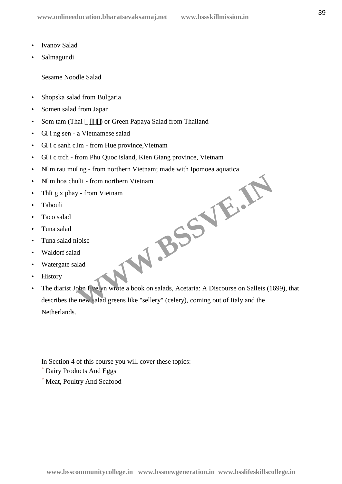- Ivanov Salad
- Salmagundi

Sesame Noodle Salad

- Shopska salad from Bulgaria
- Somen salad from Japan
- Som tam (Thai ) or Green Papaya Salad from Thailand
- G i ng sen a Vietnamese salad
- G i c sanh c m from Hue province, Vietnam
- G i c trch from Phu Quoc island, Kien Giang province, Vietnam
- N m rau mu ng from northern Vietnam; made with Ipomoea aquatica **WWW.BSSVE.IN**
- N m hoa chu i from northern Vietnam
- $\bullet$  Th t g x phay from Vietnam
- Tabouli
- Taco salad
- Tuna salad
- Tuna salad nioise
- Waldorf salad
- Watergate salad
- History
- The diarist John Evelyn wrote a book on salads, Acetaria: A Discourse on Sallets (1699), that describes the new salad greens like "sellery" (celery), coming out of Italy and the Netherlands.

In Section 4 of this course you will cover these topics:

- Dairy Products And Eggs
- Meat, Poultry And Seafood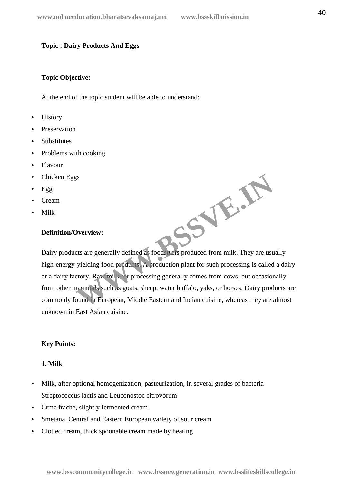# **Topic : Dairy Products And Eggs**

# **Topic Objective:**

At the end of the topic student will be able to understand:

- History
- Preservation
- Substitutes
- Problems with cooking
- Flavour
- Chicken Eggs
- Egg
- Cream
- Milk

# **Definition/Overview:**

Dairy products are generally defined as foodstuffs produced from milk. They are usually high-energy-yielding food products. A production plant for such processing is called a dairy or a dairy factory. Raw milk for processing generally comes from cows, but occasionally from other mammals such as goats, sheep, water buffalo, yaks, or horses. Dairy products are commonly found in European, Middle Eastern and Indian cuisine, whereas they are almost unknown in East Asian cuisine. **WWW.BSSVE.IN**

# **Key Points:**

# **1. Milk**

- Milk, after optional homogenization, pasteurization, in several grades of bacteria Streptococcus lactis and Leuconostoc citrovorum
- Crme frache, slightly fermented cream
- Smetana, Central and Eastern European variety of sour cream
- Clotted cream, thick spoonable cream made by heating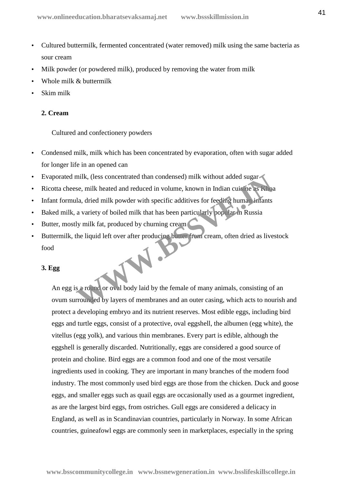- Cultured buttermilk, fermented concentrated (water removed) milk using the same bacteria as sour cream
- Milk powder (or powdered milk), produced by removing the water from milk
- Whole milk & buttermilk
- Skim milk

### **2. Cream**

Cultured and confectionery powders

- Condensed milk, milk which has been concentrated by evaporation, often with sugar added for longer life in an opened can
- Evaporated milk, (less concentrated than condensed) milk without added sugar
- Ricotta cheese, milk heated and reduced in volume, known in Indian cuisine as Khoa
- Infant formula, dried milk powder with specific additives for feeding human infants
- Baked milk, a variety of boiled milk that has been particularly popular in Russia
- Butter, mostly milk fat, produced by churning cream
- Buttermilk, the liquid left over after producing butter from cream, often dried as livestock food

### **3. Egg**

An egg is a round or oval body laid by the female of many animals, consisting of an ovum surrounded by layers of membranes and an outer casing, which acts to nourish and protect a developing embryo and its nutrient reserves. Most edible eggs, including bird eggs and turtle eggs, consist of a protective, oval eggshell, the albumen (egg white), the vitellus (egg yolk), and various thin membranes. Every part is edible, although the eggshell is generally discarded. Nutritionally, eggs are considered a good source of protein and choline. Bird eggs are a common food and one of the most versatile ingredients used in cooking. They are important in many branches of the modern food industry. The most commonly used bird eggs are those from the chicken. Duck and goose eggs, and smaller eggs such as quail eggs are occasionally used as a gourmet ingredient, as are the largest bird eggs, from ostriches. Gull eggs are considered a delicacy in England, as well as in Scandinavian countries, particularly in Norway. In some African countries, guineafowl eggs are commonly seen in marketplaces, especially in the spring milk, (less concentrated than condensed) milk without added sugarse, milk heated and reduced in volume, known in Indian cuisine as Kingdian and the set of the set of the set of the set of the set of the set of the set of t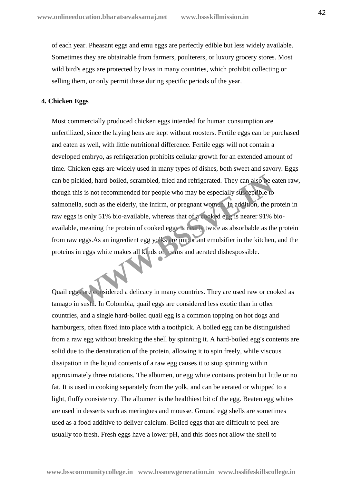of each year. Pheasant eggs and emu eggs are perfectly edible but less widely available. Sometimes they are obtainable from farmers, poulterers, or luxury grocery stores. Most wild bird's eggs are protected by laws in many countries, which prohibit collecting or selling them, or only permit these during specific periods of the year.

# **4. Chicken Eggs**

Most commercially produced chicken eggs intended for human consumption are unfertilized, since the laying hens are kept without roosters. Fertile eggs can be purchased and eaten as well, with little nutritional difference. Fertile eggs will not contain a developed embryo, as refrigeration prohibits cellular growth for an extended amount of time. Chicken eggs are widely used in many types of dishes, both sweet and savory. Eggs can be pickled, hard-boiled, scrambled, fried and refrigerated. They can also be eaten raw, though this is not recommended for people who may be especially susceptible to salmonella, such as the elderly, the infirm, or pregnant women. In addition, the protein in raw eggs is only 51% bio-available, whereas that of a cooked egg is nearer 91% bio available, meaning the protein of cooked eggs is nearly twice as absorbable as the protein from raw eggs.As an ingredient egg yolks are important emulsifier in the kitchen, and the proteins in eggs white makes all kinds of foams and aerated dishespossible. ickled, hard-boiled, scrambled, fried and refrigerated. They can also be e<br>his is not recommended for people who may be especially susepible to<br>lla, such as the elderly, the infirm, or pregnant woment in addition, the p<br>is

Quail eggs are considered a delicacy in many countries. They are used raw or cooked as tamago in sushi. In Colombia, quail eggs are considered less exotic than in other countries, and a single hard-boiled quail egg is a common topping on hot dogs and hamburgers, often fixed into place with a toothpick. A boiled egg can be distinguished from a raw egg without breaking the shell by spinning it. A hard-boiled egg's contents are solid due to the denaturation of the protein, allowing it to spin freely, while viscous dissipation in the liquid contents of a raw egg causes it to stop spinning within approximately three rotations. The albumen, or egg white contains protein but little or no fat. It is used in cooking separately from the yolk, and can be aerated or whipped to a light, fluffy consistency. The albumen is the healthiest bit of the egg. Beaten egg whites are used in desserts such as meringues and mousse. Ground egg shells are sometimes used as a food additive to deliver calcium. Boiled eggs that are difficult to peel are usually too fresh. Fresh eggs have a lower pH, and this does not allow the shell to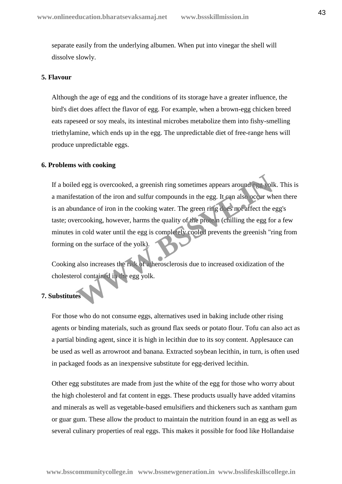separate easily from the underlying albumen. When put into vinegar the shell will dissolve slowly.

### **5. Flavour**

Although the age of egg and the conditions of its storage have a greater influence, the bird's diet does affect the flavor of egg. For example, when a brown-egg chicken breed eats rapeseed or soy meals, its intestinal microbes metabolize them into fishy-smelling triethylamine, which ends up in the egg. The unpredictable diet of free-range hens will produce unpredictable eggs.

### **6. Problems with cooking**

If a boiled egg is overcooked, a greenish ring sometimes appears around egg yolk. This is a manifestation of the iron and sulfur compounds in the egg. It can also occur when there is an abundance of iron in the cooking water. The green ring does not affect the egg's taste; overcooking, however, harms the quality of the protein (chilling the egg for a few minutes in cold water until the egg is completely cooled prevents the greenish "ring from forming on the surface of the yolk). Exercise of the iron and sulfur compounds in the egg. It can also occur who is station of the iron and sulfur compounds in the egg. It can also occur who is made to firm in the cooking water. The green ring does not affect

Cooking also increases the risk of atherosclerosis due to increased oxidization of the cholesterol contained in the egg yolk.

# **7. Substitutes**

For those who do not consume eggs, alternatives used in baking include other rising agents or binding materials, such as ground flax seeds or potato flour. Tofu can also act as a partial binding agent, since it is high in lecithin due to its soy content. Applesauce can be used as well as arrowroot and banana. Extracted soybean lecithin, in turn, is often used in packaged foods as an inexpensive substitute for egg-derived lecithin.

Other egg substitutes are made from just the white of the egg for those who worry about the high cholesterol and fat content in eggs. These products usually have added vitamins and minerals as well as vegetable-based emulsifiers and thickeners such as xantham gum or guar gum. These allow the product to maintain the nutrition found in an egg as well as several culinary properties of real eggs. This makes it possible for food like Hollandaise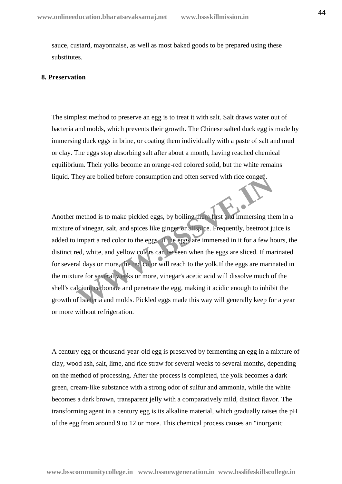sauce, custard, mayonnaise, as well as most baked goods to be prepared using these substitutes.

### **8. Preservation**

The simplest method to preserve an egg is to treat it with salt. Salt draws water out of bacteria and molds, which prevents their growth. The Chinese salted duck egg is made by immersing duck eggs in brine, or coating them individually with a paste of salt and mud or clay. The eggs stop absorbing salt after about a month, having reached chemical equilibrium. Their yolks become an orange-red colored solid, but the white remains liquid. They are boiled before consumption and often served with rice congee.

Another method is to make pickled eggs, by boiling them first and immersing them in a mixture of vinegar, salt, and spices like ginger or allspice. Frequently, beetroot juice is added to impart a red color to the eggs. If the eggs are immersed in it for a few hours, the distinct red, white, and yellow colors can be seen when the eggs are sliced. If marinated for several days or more, the red color will reach to the yolk.If the eggs are marinated in the mixture for several weeks or more, vinegar's acetic acid will dissolve much of the shell's calcium carbonate and penetrate the egg, making it acidic enough to inhibit the growth of bacteria and molds. Pickled eggs made this way will generally keep for a year or more without refrigeration. they are boiled before consumption and often served with rice congesting the method is to make pickled eggs, by boiling them first and immersing the of vinegar, salt, and spices like ginger or allspice. Frequently, beetroo

A century egg or thousand-year-old egg is preserved by fermenting an egg in a mixture of clay, wood ash, salt, lime, and rice straw for several weeks to several months, depending on the method of processing. After the process is completed, the yolk becomes a dark green, cream-like substance with a strong odor of sulfur and ammonia, while the white becomes a dark brown, transparent jelly with a comparatively mild, distinct flavor. The transforming agent in a century egg is its alkaline material, which gradually raises the pH of the egg from around 9 to 12 or more. This chemical process causes an "inorganic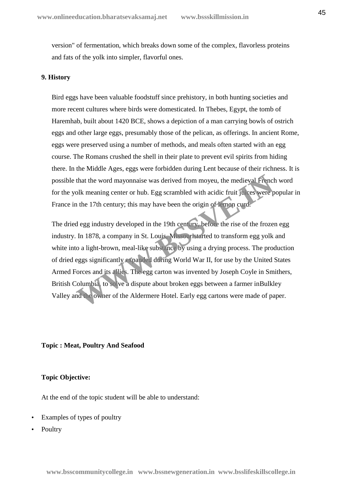version" of fermentation, which breaks down some of the complex, flavorless proteins and fats of the yolk into simpler, flavorful ones.

### **9. History**

Bird eggs have been valuable foodstuff since prehistory, in both hunting societies and more recent cultures where birds were domesticated. In Thebes, Egypt, the tomb of Haremhab, built about 1420 BCE, shows a depiction of a man carrying bowls of ostrich eggs and other large eggs, presumably those of the pelican, as offerings. In ancient Rome, eggs were preserved using a number of methods, and meals often started with an egg course. The Romans crushed the shell in their plate to prevent evil spirits from hiding there. In the Middle Ages, eggs were forbidden during Lent because of their richness. It is possible that the word mayonnaise was derived from moyeu, the medieval French word for the yolk meaning center or hub. Egg scrambled with acidic fruit juices were popular in France in the 17th century; this may have been the origin of lemon curd.

The dried egg industry developed in the 19th century, before the rise of the frozen egg industry. In 1878, a company in St. Louis, Missouristarted to transform egg yolk and white into a light-brown, meal-like substance by using a drying process. The production of dried eggs significantly expanded during World War II, for use by the United States Armed Forces and its allies. The egg carton was invented by Joseph Coyle in Smithers, British Columbia, to solve a dispute about broken eggs between a farmer inBulkley Valley and the owner of the Aldermere Hotel. Early egg cartons were made of paper. that the word mayonnaise was derived from moyeu, the medieval Frenclin of the medieval Frenclin of the 17th century; this may have been the origin of the mondest were put in the 17th century; this may have been the origin

# **Topic : Meat, Poultry And Seafood**

### **Topic Objective:**

At the end of the topic student will be able to understand:

- Examples of types of poultry
- Poultry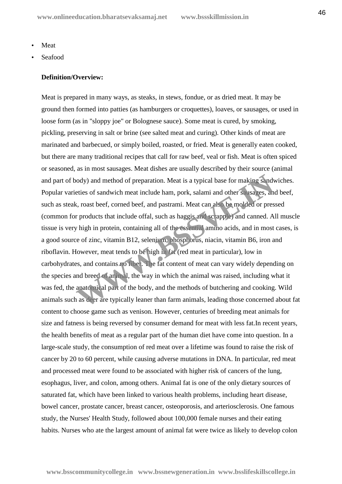- Meat
- Seafood

### **Definition/Overview:**

Meat is prepared in many ways, as steaks, in stews, fondue, or as dried meat. It may be ground then formed into patties (as hamburgers or croquettes), loaves, or sausages, or used in loose form (as in "sloppy joe" or Bolognese sauce). Some meat is cured, by smoking, pickling, preserving in salt or brine (see salted meat and curing). Other kinds of meat are marinated and barbecued, or simply boiled, roasted, or fried. Meat is generally eaten cooked, but there are many traditional recipes that call for raw beef, veal or fish. Meat is often spiced or seasoned, as in most sausages. Meat dishes are usually described by their source (animal and part of body) and method of preparation. Meat is a typical base for making sandwiches. Popular varieties of sandwich meat include ham, pork, salami and other sausages, and beef, such as steak, roast beef, corned beef, and pastrami. Meat can also be molded or pressed (common for products that include offal, such as haggis and scrapple) and canned. All muscle tissue is very high in protein, containing all of the essential amino acids, and in most cases, is a good source of zinc, vitamin B12, selenium, phosphorus, niacin, vitamin B6, iron and riboflavin. However, meat tends to be high in fat (red meat in particular), low in carbohydrates, and contains no fiber. The fat content of meat can vary widely depending on the species and breed of animal, the way in which the animal was raised, including what it was fed, the anatomical part of the body, and the methods of butchering and cooking. Wild animals such as deer are typically leaner than farm animals, leading those concerned about fat content to choose game such as venison. However, centuries of breeding meat animals for size and fatness is being reversed by consumer demand for meat with less fat.In recent years, the health benefits of meat as a regular part of the human diet have come into question. In a large-scale study, the consumption of red meat over a lifetime was found to raise the risk of cancer by 20 to 60 percent, while causing adverse mutations in DNA. In particular, red meat and processed meat were found to be associated with higher risk of cancers of the lung, esophagus, liver, and colon, among others. Animal fat is one of the only dietary sources of saturated fat, which have been linked to various health problems, including heart disease, bowel cancer, prostate cancer, breast cancer, osteoporosis, and arteriosclerosis. One famous study, the Nurses' Health Study, followed about 100,000 female nurses and their eating habits. Nurses who ate the largest amount of animal fat were twice as likely to develop colon ody) and method of preparation. Meat is a typical base for making sands<br>eties of sandwich meat include ham, pork, salami and other sausages, and<br>s, roast beef, corned beef, and pastrami. Meat can also be molded or pres<br>r p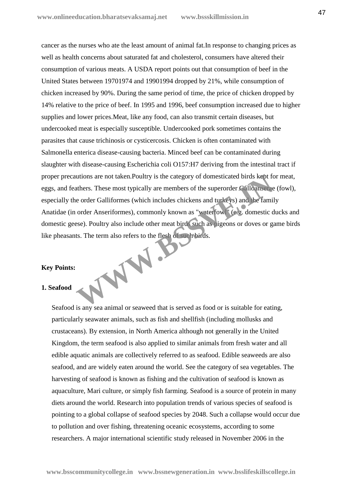cancer as the nurses who ate the least amount of animal fat.In response to changing prices as well as health concerns about saturated fat and cholesterol, consumers have altered their consumption of various meats. A USDA report points out that consumption of beef in the United States between 19701974 and 19901994 dropped by 21%, while consumption of chicken increased by 90%. During the same period of time, the price of chicken dropped by 14% relative to the price of beef. In 1995 and 1996, beef consumption increased due to higher supplies and lower prices.Meat, like any food, can also transmit certain diseases, but undercooked meat is especially susceptible. Undercooked pork sometimes contains the parasites that cause trichinosis or cysticercosis. Chicken is often contaminated with Salmonella enterica disease-causing bacteria. Minced beef can be contaminated during slaughter with disease-causing Escherichia coli O157:H7 deriving from the intestinal tract if proper precautions are not taken.Poultry is the category of domesticated birds kept for meat, eggs, and feathers. These most typically are members of the superorder Galloanserae (fowl), especially the order Galliformes (which includes chickens and turkeys) and the family Anatidae (in order Anseriformes), commonly known as "waterfowl" (e.g. domestic ducks and domestic geese). Poultry also include other meat birds such as pigeons or doves or game birds like pheasants. The term also refers to the flesh of such birds. WWW.B

# **Key Points:**

### **1. Seafood**

Seafood is any sea animal or seaweed that is served as food or is suitable for eating, particularly seawater animals, such as fish and shellfish (including mollusks and crustaceans). By extension, in North America although not generally in the United Kingdom, the term seafood is also applied to similar animals from fresh water and all edible aquatic animals are collectively referred to as seafood. Edible seaweeds are also seafood, and are widely eaten around the world. See the category of sea vegetables. The harvesting of seafood is known as fishing and the cultivation of seafood is known as aquaculture, Mari culture, or simply fish farming. Seafood is a source of protein in many diets around the world. Research into population trends of various species of seafood is pointing to a global collapse of seafood species by 2048. Such a collapse would occur due to pollution and over fishing, threatening oceanic ecosystems, according to some researchers. A major international scientific study released in November 2006 in the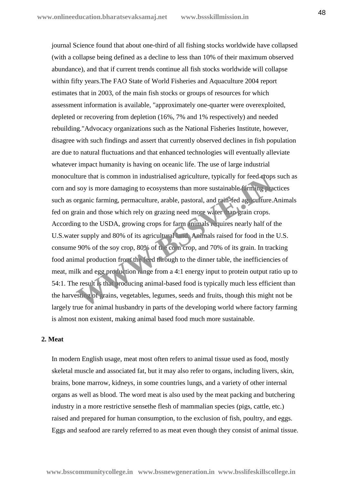journal Science found that about one-third of all fishing stocks worldwide have collapsed (with a collapse being defined as a decline to less than 10% of their maximum observed abundance), and that if current trends continue all fish stocks worldwide will collapse within fifty years.The FAO State of World Fisheries and Aquaculture 2004 report estimates that in 2003, of the main fish stocks or groups of resources for which assessment information is available, "approximately one-quarter were overexploited, depleted or recovering from depletion (16%, 7% and 1% respectively) and needed rebuilding."Advocacy organizations such as the National Fisheries Institute, however, disagree with such findings and assert that currently observed declines in fish population are due to natural fluctuations and that enhanced technologies will eventually alleviate whatever impact humanity is having on oceanic life. The use of large industrial monoculture that is common in industrialised agriculture, typically for feed crops such as corn and soy is more damaging to ecosystems than more sustainable farming practices such as organic farming, permaculture, arable, pastoral, and rain-fed agriculture.Animals fed on grain and those which rely on grazing need more water than grain crops. According to the USDA, growing crops for farm animals requires nearly half of the U.S.water supply and 80% of its agricultural land. Animals raised for food in the U.S. consume 90% of the soy crop, 80% of the corn crop, and 70% of its grain. In tracking food animal production from the feed through to the dinner table, the inefficiencies of meat, milk and egg production range from a 4:1 energy input to protein output ratio up to 54:1. The result is that producing animal-based food is typically much less efficient than the harvesting of grains, vegetables, legumes, seeds and fruits, though this might not be largely true for animal husbandry in parts of the developing world where factory farming is almost non existent, making animal based food much more sustainable. ture that is common in industrialised agriculture, typically for feed crops<br>soy is more damaging to ecosystems than more sustainable farming pra<br>organic farming, permaculture, arable, pastoral, and rain-fed agriculture..<br>r

# **2. Meat**

In modern English usage, meat most often refers to animal tissue used as food, mostly skeletal muscle and associated fat, but it may also refer to organs, including livers, skin, brains, bone marrow, kidneys, in some countries lungs, and a variety of other internal organs as well as blood. The word meat is also used by the meat packing and butchering industry in a more restrictive sensethe flesh of mammalian species (pigs, cattle, etc.) raised and prepared for human consumption, to the exclusion of fish, poultry, and eggs. Eggs and seafood are rarely referred to as meat even though they consist of animal tissue.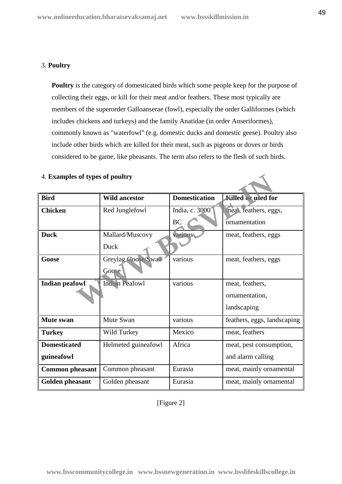# 3. **Poultry**

**Poultry** is the category of domesticated birds which some people keep for the purpose of collecting their eggs, or kill for their meat and/or feathers. These most typically are members of the superorder Galloanserae (fowl), especially the order Galliformes (which includes chickens and turkeys) and the family Anatidae (in order Anseriformes), commonly known as "waterfowl" (e.g. domestic ducks and domestic geese). Poultry also include other birds which are killed for their meat, such as pigeons or doves or birds considered to be game, like pheasants. The term also refers to the flesh of such birds.

# 4. **Examples of types of poultry**

| 4. Examples of types of poultry |                       |                      |                             |
|---------------------------------|-----------------------|----------------------|-----------------------------|
| <b>Bird</b>                     | <b>Wild ancestor</b>  | <b>Domestication</b> | Killed or used for          |
| <b>Chicken</b>                  | Red Junglefowl        | India, c. 3000       | meal, feathers, eggs,       |
|                                 |                       | <b>BC</b>            | ornamentation               |
| <b>Duck</b>                     | Mallard/Muscovy       | various              | meat, feathers, eggs        |
|                                 | Duck                  |                      |                             |
| Goose                           | Greylag Goose/Swan    | various              | meat, feathers, eggs        |
|                                 | Goose                 |                      |                             |
| <b>Indian peafowl</b>           | <b>Indian Peafowl</b> | various              | meat, feathers,             |
|                                 |                       |                      | ornamentation,              |
|                                 |                       |                      | landscaping                 |
| <b>Mute swan</b>                | Mute Swan             | various              | feathers, eggs, landscaping |
| <b>Turkey</b>                   | Wild Turkey           | Mexico               | meat, feathers              |
| <b>Domesticated</b>             | Helmeted guineafowl   | Africa               | meat, pest consumption,     |
| guineafowl                      |                       |                      | and alarm calling           |
| <b>Common pheasant</b>          | Common pheasant       | Eurasia              | meat, mainly ornamental     |
| Golden pheasant                 | Golden pheasant       | Eurasia              | meat, mainly ornamental     |

[Figure 2]

**www.bsscommunitycollege.in www.bssnewgeneration.in www.bsslifeskillscollege.in**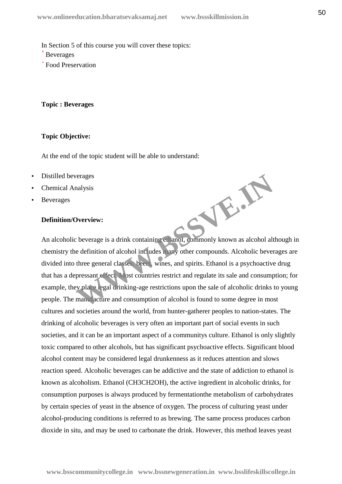In Section 5 of this course you will cover these topics:

Beverages

Food Preservation

### **Topic : Beverages**

# **Topic Objective:**

At the end of the topic student will be able to understand:

- Distilled beverages
- Chemical Analysis
- Beverages

# **Definition/Overview:**

An alcoholic beverage is a drink containing ethanol, commonly known as alcohol although in chemistry the definition of alcohol includes many other compounds. Alcoholic beverages are divided into three general classes: beers, wines, and spirits. Ethanol is a psychoactive drug that has a depressant effect. Most countries restrict and regulate its sale and consumption; for example, they place legal drinking-age restrictions upon the sale of alcoholic drinks to young people. The manufacture and consumption of alcohol is found to some degree in most cultures and societies around the world, from hunter-gatherer peoples to nation-states. The drinking of alcoholic beverages is very often an important part of social events in such societies, and it can be an important aspect of a communitys culture. Ethanol is only slightly toxic compared to other alcohols, but has significant psychoactive effects. Significant blood alcohol content may be considered legal drunkenness as it reduces attention and slows reaction speed. Alcoholic beverages can be addictive and the state of addiction to ethanol is known as alcoholism. Ethanol (CH3CH2OH), the active ingredient in alcoholic drinks, for consumption purposes is always produced by fermentationthe metabolism of carbohydrates by certain species of yeast in the absence of oxygen. The process of culturing yeast under alcohol-producing conditions is referred to as brewing. The same process produces carbon dioxide in situ, and may be used to carbonate the drink. However, this method leaves yeast **WWW.BSSVE.IN**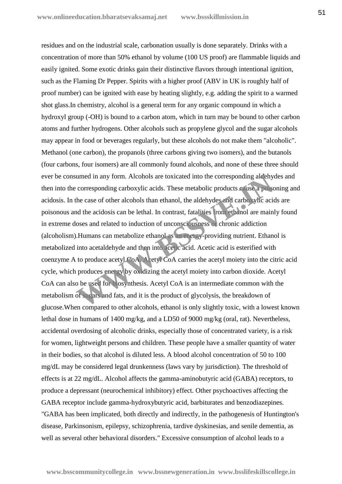residues and on the industrial scale, carbonation usually is done separately. Drinks with a concentration of more than 50% ethanol by volume (100 US proof) are flammable liquids and easily ignited. Some exotic drinks gain their distinctive flavors through intentional ignition, such as the Flaming Dr Pepper. Spirits with a higher proof (ABV in UK is roughly half of proof number) can be ignited with ease by heating slightly, e.g. adding the spirit to a warmed shot glass.In chemistry, alcohol is a general term for any organic compound in which a hydroxyl group (-OH) is bound to a carbon atom, which in turn may be bound to other carbon atoms and further hydrogens. Other alcohols such as propylene glycol and the sugar alcohols may appear in food or beverages regularly, but these alcohols do not make them "alcoholic". Methanol (one carbon), the propanols (three carbons giving two isomers), and the butanols (four carbons, four isomers) are all commonly found alcohols, and none of these three should ever be consumed in any form. Alcohols are toxicated into the corresponding aldehydes and then into the corresponding carboxylic acids. These metabolic products cause a poisoning and acidosis. In the case of other alcohols than ethanol, the aldehydes and carboxylic acids are poisonous and the acidosis can be lethal. In contrast, fatalities from ethanol are mainly found in extreme doses and related to induction of unconsciousness or chronic addiction (alcoholism).Humans can metabolize ethanol as an energy-providing nutrient. Ethanol is metabolized into acetaldehyde and then into acetic acid. Acetic acid is esterified with coenzyme A to produce acetyl CoA. Acetyl CoA carries the acetyl moiety into the citric acid cycle, which produces energy by oxidizing the acetyl moiety into carbon dioxide. Acetyl CoA can also be used for biosynthesis. Acetyl CoA is an intermediate common with the metabolism of sugars and fats, and it is the product of glycolysis, the breakdown of glucose.When compared to other alcohols, ethanol is only slightly toxic, with a lowest known lethal dose in humans of 1400 mg/kg, and a LD50 of 9000 mg/kg (oral, rat). Nevertheless, accidental overdosing of alcoholic drinks, especially those of concentrated variety, is a risk for women, lightweight persons and children. These people have a smaller quantity of water in their bodies, so that alcohol is diluted less. A blood alcohol concentration of 50 to 100 mg/dL may be considered legal drunkenness (laws vary by jurisdiction). The threshold of effects is at 22 mg/dL. Alcohol affects the gamma-aminobutyric acid (GABA) receptors, to produce a depressant (neurochemical inhibitory) effect. Other psychoactives affecting the umed in any form. Alcohols are toxicated into the corresponding alcehy<br>corresponding carboxylic acids. These metabolic products cause a polse<br>the case of other alcohols than ethanol, the aldehydes and carboxylic acid<br>and t

GABA receptor include gamma-hydroxybutyric acid, barbiturates and benzodiazepines. "GABA has been implicated, both directly and indirectly, in the pathogenesis of Huntington's disease, Parkinsonism, epilepsy, schizophrenia, tardive dyskinesias, and senile dementia, as well as several other behavioral disorders." Excessive consumption of alcohol leads to a

**www.bsscommunitycollege.in www.bssnewgeneration.in www.bsslifeskillscollege.in**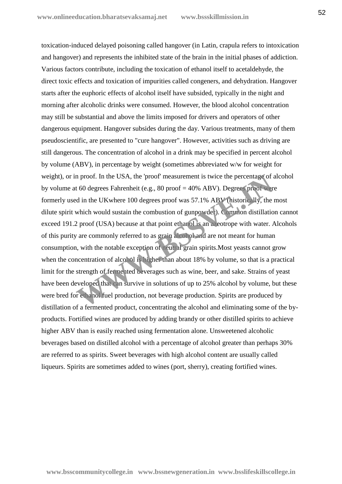toxication-induced delayed poisoning called hangover (in Latin, crapula refers to intoxication and hangover) and represents the inhibited state of the brain in the initial phases of addiction. Various factors contribute, including the toxication of ethanol itself to acetaldehyde, the direct toxic effects and toxication of impurities called congeners, and dehydration. Hangover starts after the euphoric effects of alcohol itself have subsided, typically in the night and morning after alcoholic drinks were consumed. However, the blood alcohol concentration may still be substantial and above the limits imposed for drivers and operators of other dangerous equipment. Hangover subsides during the day. Various treatments, many of them pseudoscientific, are presented to "cure hangover". However, activities such as driving are still dangerous. The concentration of alcohol in a drink may be specified in percent alcohol by volume (ABV), in percentage by weight (sometimes abbreviated w/w for weight for weight), or in proof. In the USA, the 'proof' measurement is twice the percentage of alcohol by volume at 60 degrees Fahrenheit (e.g., 80 proof = 40% ABV). Degrees proof were formerly used in the UKwhere 100 degrees proof was 57.1% ABV (historically, the most dilute spirit which would sustain the combustion of gunpowder). Common distillation cannot exceed 191.2 proof (USA) because at that point ethanol is an azeotrope with water. Alcohols of this purity are commonly referred to as grain alcohol and are not meant for human consumption, with the notable exception of neutral grain spirits.Most yeasts cannot grow when the concentration of alcohol is higher than about 18% by volume, so that is a practical limit for the strength of fermented beverages such as wine, beer, and sake. Strains of yeast have been developed that can survive in solutions of up to 25% alcohol by volume, but these were bred for ethanol fuel production, not beverage production. Spirits are produced by distillation of a fermented product, concentrating the alcohol and eliminating some of the by products. Fortified wines are produced by adding brandy or other distilled spirits to achieve higher ABV than is easily reached using fermentation alone. Unsweetened alcoholic beverages based on distilled alcohol with a percentage of alcohol greater than perhaps 30% are referred to as spirits. Sweet beverages with high alcohol content are usually called liqueurs. Spirits are sometimes added to wines (port, sherry), creating fortified wines. In proof. In the USA, the 'proof' measurement is twice the percentage of a to 0 degrees Fahrenheit (e.g., 80 proof = 40% ABV). Degrees proof were d in the UKwhere 100 degrees proof was 57.1% ABV (historic lily, the which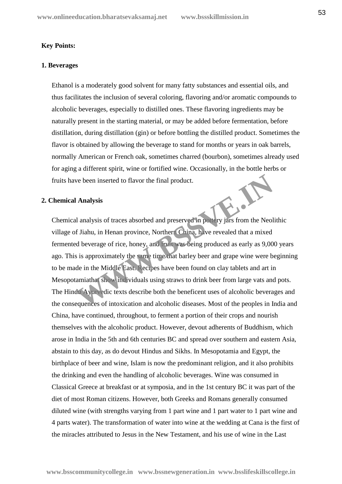### **Key Points:**

### **1. Beverages**

Ethanol is a moderately good solvent for many fatty substances and essential oils, and thus facilitates the inclusion of several coloring, flavoring and/or aromatic compounds to alcoholic beverages, especially to distilled ones. These flavoring ingredients may be naturally present in the starting material, or may be added before fermentation, before distillation, during distillation (gin) or before bottling the distilled product. Sometimes the flavor is obtained by allowing the beverage to stand for months or years in oak barrels, normally American or French oak, sometimes charred (bourbon), sometimes already used for aging a different spirit, wine or fortified wine. Occasionally, in the bottle herbs or fruits have been inserted to flavor the final product.

### **2. Chemical Analysis**

Chemical analysis of traces absorbed and preserved in pottery jars from the Neolithic village of Jiahu, in Henan province, Northern China, have revealed that a mixed fermented beverage of rice, honey, and fruit was being produced as early as 9,000 years ago. This is approximately the same time that barley beer and grape wine were beginning to be made in the Middle East. Recipes have been found on clay tablets and art in Mesopotamiathat show individuals using straws to drink beer from large vats and pots. The Hindu Ayurvedic texts describe both the beneficent uses of alcoholic beverages and the consequences of intoxication and alcoholic diseases. Most of the peoples in India and China, have continued, throughout, to ferment a portion of their crops and nourish themselves with the alcoholic product. However, devout adherents of Buddhism, which arose in India in the 5th and 6th centuries BC and spread over southern and eastern Asia, abstain to this day, as do devout Hindus and Sikhs. In Mesopotamia and Egypt, the birthplace of beer and wine, Islam is now the predominant religion, and it also prohibits the drinking and even the handling of alcoholic beverages. Wine was consumed in Classical Greece at breakfast or at symposia, and in the 1st century BC it was part of the diet of most Roman citizens. However, both Greeks and Romans generally consumed diluted wine (with strengths varying from 1 part wine and 1 part water to 1 part wine and 4 parts water). The transformation of water into wine at the wedding at Cana is the first of the miracles attributed to Jesus in the New Testament, and his use of wine in the Last We been inserted to flavor the final product.<br> **Malysis**<br> **Malysis**<br> **Malysis of traces absorbed and preserved in pollery jars from the Neol<br>
f Jiahu, in Henan province, Northert China, have revealed that a mixed<br>
deverage**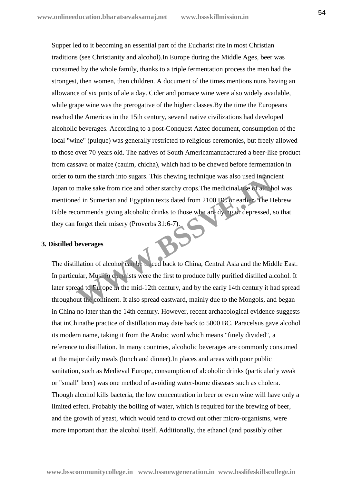Supper led to it becoming an essential part of the Eucharist rite in most Christian traditions (see Christianity and alcohol).In Europe during the Middle Ages, beer was consumed by the whole family, thanks to a triple fermentation process the men had the strongest, then women, then children. A document of the times mentions nuns having an allowance of six pints of ale a day. Cider and pomace wine were also widely available, while grape wine was the prerogative of the higher classes. By the time the Europeans reached the Americas in the 15th century, several native civilizations had developed alcoholic beverages. According to a post-Conquest Aztec document, consumption of the local "wine" (pulque) was generally restricted to religious ceremonies, but freely allowed to those over 70 years old. The natives of South Americamanufactured a beer-like product from cassava or maize (cauim, chicha), which had to be chewed before fermentation in order to turn the starch into sugars. This chewing technique was also used in ancient Japan to make sake from rice and other starchy crops.The medicinal use of alcohol was mentioned in Sumerian and Egyptian texts dated from 2100 BC or earlier. The Hebrew Bible recommends giving alcoholic drinks to those who are dying or depressed, so that they can forget their misery (Proverbs 31:6-7). turn the starch into sugars. This chewing technique was also used in ancimate sake from rice and other starchy crops. The medicinal as each of alcohol can and Egyptian texts dated from 2100 **PC** or earlier. The H commends

# **3. Distilled beverages**

The distillation of alcohol can be traced back to China, Central Asia and the Middle East. In particular, Muslim chemists were the first to produce fully purified distilled alcohol. It later spread to Europe in the mid-12th century, and by the early 14th century it had spread throughout the continent. It also spread eastward, mainly due to the Mongols, and began in China no later than the 14th century. However, recent archaeological evidence suggests that inChinathe practice of distillation may date back to 5000 BC. Paracelsus gave alcohol its modern name, taking it from the Arabic word which means "finely divided", a reference to distillation. In many countries, alcoholic beverages are commonly consumed at the major daily meals (lunch and dinner).In places and areas with poor public sanitation, such as Medieval Europe, consumption of alcoholic drinks (particularly weak or "small" beer) was one method of avoiding water-borne diseases such as cholera. Though alcohol kills bacteria, the low concentration in beer or even wine will have only a limited effect. Probably the boiling of water, which is required for the brewing of beer, and the growth of yeast, which would tend to crowd out other micro-organisms, were more important than the alcohol itself. Additionally, the ethanol (and possibly other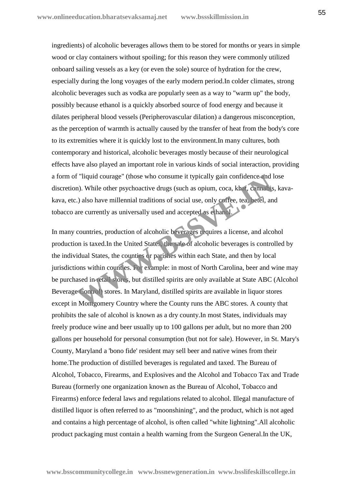ingredients) of alcoholic beverages allows them to be stored for months or years in simple wood or clay containers without spoiling; for this reason they were commonly utilized onboard sailing vessels as a key (or even the sole) source of hydration for the crew, especially during the long voyages of the early modern period.In colder climates, strong alcoholic beverages such as vodka are popularly seen as a way to "warm up" the body, possibly because ethanol is a quickly absorbed source of food energy and because it dilates peripheral blood vessels (Peripherovascular dilation) a dangerous misconception, as the perception of warmth is actually caused by the transfer of heat from the body's core to its extremities where it is quickly lost to the environment.In many cultures, both contemporary and historical, alcoholic beverages mostly because of their neurological effects have also played an important role in various kinds of social interaction, providing a form of "liquid courage" (those who consume it typically gain confidence and lose discretion). While other psychoactive drugs (such as opium, coca, khat, cannabis, kava kava, etc.) also have millennial traditions of social use, only coffee, tea, betel, and tobacco are currently as universally used and accepted as ethanol.

In many countries, production of alcoholic beverages requires a license, and alcohol production is taxed.In the United States, the sale of alcoholic beverages is controlled by the individual States, the counties or parishes within each State, and then by local jurisdictions within counties. For example: in most of North Carolina, beer and wine may be purchased in retail stores, but distilled spirits are only available at State ABC (Alcohol Beverage Control) stores. In Maryland, distilled spirits are available in liquor stores except in Montgomery Country where the County runs the ABC stores. A county that prohibits the sale of alcohol is known as a dry county.In most States, individuals may freely produce wine and beer usually up to 100 gallons per adult, but no more than 200 gallons per household for personal consumption (but not for sale). However, in St. Mary's County, Maryland a 'bono fide' resident may sell beer and native wines from their home.The production of distilled beverages is regulated and taxed. The Bureau of Alcohol, Tobacco, Firearms, and Explosives and the Alcohol and Tobacco Tax and Trade Bureau (formerly one organization known as the Bureau of Alcohol, Tobacco and Firearms) enforce federal laws and regulations related to alcohol. Illegal manufacture of distilled liquor is often referred to as "moonshining", and the product, which is not aged and contains a high percentage of alcohol, is often called "white lightning".All alcoholic product packaging must contain a health warning from the Surgeon General.In the UK, If "liquid courage" (those who consume it typically gain confidence and l<br>n). While other psychoactive drugs (such as opium, coca, kh I. cannabis<br>..) also have millennial traditions of social use, only coffee, tea, betel,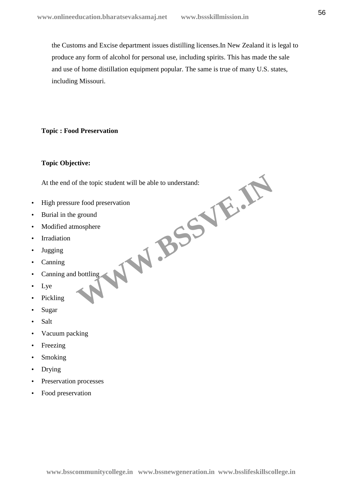the Customs and Excise department issues distilling licenses.In New Zealand it is legal to produce any form of alcohol for personal use, including spirits. This has made the sale and use of home distillation equipment popular. The same is true of many U.S. states, including Missouri.

# **Topic : Food Preservation**

# **Topic Objective:**

At the end of the topic student will be able to understand: WW.BSS<sup>W.E.IN</sup>

- High pressure food preservation
- Burial in the ground
- Modified atmosphere
- Irradiation
- Jugging
- Canning
- Canning and bottling
- Lye
- Pickling
- Sugar
- Salt
- Vacuum packing
- Freezing
- Smoking
- Drying
- Preservation processes
- Food preservation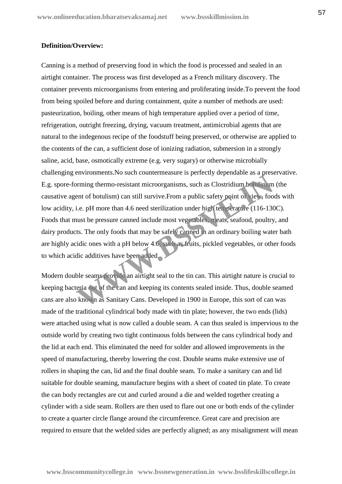### **Definition/Overview:**

Canning is a method of preserving food in which the food is processed and sealed in an airtight container. The process was first developed as a French military discovery. The container prevents microorganisms from entering and proliferating inside.To prevent the food from being spoiled before and during containment, quite a number of methods are used: pasteurization, boiling, other means of high temperature applied over a period of time, refrigeration, outright freezing, drying, vacuum treatment, antimicrobial agents that are natural to the indegenous recipe of the foodstuff being preserved, or otherwise are applied to the contents of the can, a sufficient dose of ionizing radiation, submersion in a strongly saline, acid, base, osmotically extreme (e.g. very sugary) or otherwise microbially challenging environments.No such countermeasure is perfectly dependable as a preservative. E.g. spore-forming thermo-resistant microorganisms, such as Clostridium botulinum (the causative agent of botulism) can still survive.From a public safety point of view, foods with low acidity, i.e. pH more than 4.6 need sterilization under high temperature (116-130C). Foods that must be pressure canned include most vegetables, meats, seafood, poultry, and dairy products. The only foods that may be safely canned in an ordinary boiling water bath are highly acidic ones with a pH below 4.6, such as fruits, pickled vegetables, or other foods to which acidic additives have been added. Entricuted as a solution of the connection of the period of the period of the set of bottlines.<br>
The term of bottlism) can still survive. From a public safety point of view, foothic i.e. pH more than 4.6 need sterilization

Modern double seams provide an airtight seal to the tin can. This airtight nature is crucial to keeping bacteria out of the can and keeping its contents sealed inside. Thus, double seamed cans are also known as Sanitary Cans. Developed in 1900 in Europe, this sort of can was made of the traditional cylindrical body made with tin plate; however, the two ends (lids) were attached using what is now called a double seam. A can thus sealed is impervious to the outside world by creating two tight continuous folds between the cans cylindrical body and the lid at each end. This eliminated the need for solder and allowed improvements in the speed of manufacturing, thereby lowering the cost. Double seams make extensive use of rollers in shaping the can, lid and the final double seam. To make a sanitary can and lid suitable for double seaming, manufacture begins with a sheet of coated tin plate. To create the can body rectangles are cut and curled around a die and welded together creating a cylinder with a side seam. Rollers are then used to flare out one or both ends of the cylinder to create a quarter circle flange around the circumference. Great care and precision are required to ensure that the welded sides are perfectly aligned; as any misalignment will mean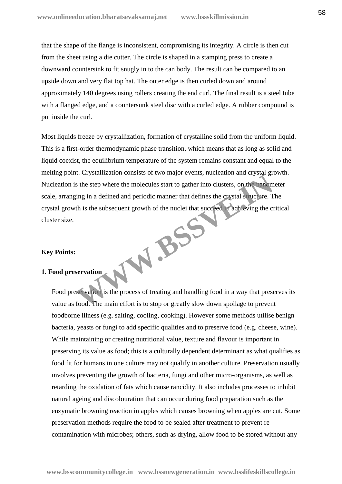that the shape of the flange is inconsistent, compromising its integrity. A circle is then cut from the sheet using a die cutter. The circle is shaped in a stamping press to create a downward countersink to fit snugly in to the can body. The result can be compared to an upside down and very flat top hat. The outer edge is then curled down and around approximately 140 degrees using rollers creating the end curl. The final result is a steel tube with a flanged edge, and a countersunk steel disc with a curled edge. A rubber compound is put inside the curl.

Most liquids freeze by crystallization, formation of crystalline solid from the uniform liquid. This is a first-order thermodynamic phase transition, which means that as long as solid and liquid coexist, the equilibrium temperature of the system remains constant and equal to the melting point. Crystallization consists of two major events, nucleation and crystal growth. Nucleation is the step where the molecules start to gather into clusters, on the nanometer scale, arranging in a defined and periodic manner that defines the crystal structure. The crystal growth is the subsequent growth of the nuclei that succeed in achieving the critical cluster size. W.BSS

### **Key Points:**

#### **1. Food preservation**

Food preservation is the process of treating and handling food in a way that preserves its value as food. The main effort is to stop or greatly slow down spoilage to prevent foodborne illness (e.g. salting, cooling, cooking). However some methods utilise benign bacteria, yeasts or fungi to add specific qualities and to preserve food (e.g. cheese, wine). While maintaining or creating nutritional value, texture and flavour is important in preserving its value as food; this is a culturally dependent determinant as what qualifies as food fit for humans in one culture may not qualify in another culture. Preservation usually involves preventing the growth of bacteria, fungi and other micro-organisms, as well as retarding the oxidation of fats which cause rancidity. It also includes processes to inhibit natural ageing and discolouration that can occur during food preparation such as the enzymatic browning reaction in apples which causes browning when apples are cut. Some preservation methods require the food to be sealed after treatment to prevent re contamination with microbes; others, such as drying, allow food to be stored without any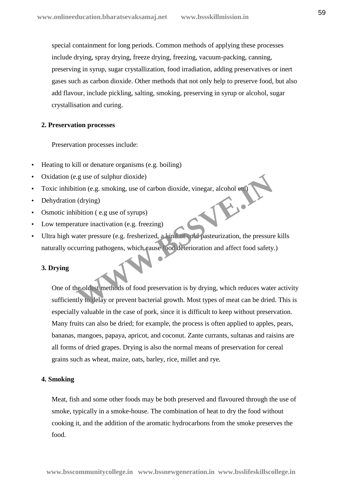special containment for long periods. Common methods of applying these processes include drying, spray drying, freeze drying, freezing, vacuum-packing, canning, preserving in syrup, sugar crystallization, food irradiation, adding preservatives or inert gases such as carbon dioxide. Other methods that not only help to preserve food, but also add flavour, include pickling, salting, smoking, preserving in syrup or alcohol, sugar crystallisation and curing.

# **2. Preservation processes**

Preservation processes include:

- Heating to kill or denature organisms (e.g. boiling)
- Oxidation (e.g use of sulphur dioxide)
- Toxic inhibition (e.g. smoking, use of carbon dioxide, vinegar, alcohol etc)<br>Dehydration (drying)<br>Osmotic inhibition (e.g use of syrups)
- Dehydration (drying)
- Osmotic inhibition ( e.g use of syrups)
- Low temperature inactivation (e.g. freezing)
- Ultra high water pressure (e.g. fresherized, a kind of cold pasteurization, the pressure kills naturally occurring pathogens, which cause food deterioration and affect food safety.)

# **3. Drying**

One of the oldest methods of food preservation is by drying, which reduces water activity sufficiently to delay or prevent bacterial growth. Most types of meat can be dried. This is especially valuable in the case of pork, since it is difficult to keep without preservation. Many fruits can also be dried; for example, the process is often applied to apples, pears, bananas, mangoes, papaya, apricot, and coconut. Zante currants, sultanas and raisins are all forms of dried grapes. Drying is also the normal means of preservation for cereal grains such as wheat, maize, oats, barley, rice, millet and rye. Example 1.g use of sulphur dioxide)<br>
tion (e.g. smoking, use of carbon dioxide, vinegar, alcohol et (drying)<br>
ibition (e.g use of syrups)<br>
ature inactivation (e.g. freezing)<br>
ature inactivation (e.g. freezing)<br>
ature inact

#### **4. Smoking**

Meat, fish and some other foods may be both preserved and flavoured through the use of smoke, typically in a smoke-house. The combination of heat to dry the food without cooking it, and the addition of the aromatic hydrocarbons from the smoke preserves the food.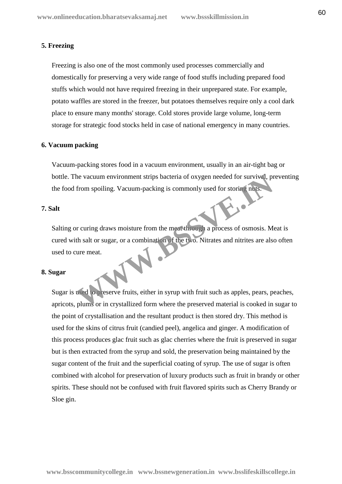# **5. Freezing**

Freezing is also one of the most commonly used processes commercially and domestically for preserving a very wide range of food stuffs including prepared food stuffs which would not have required freezing in their unprepared state. For example, potato waffles are stored in the freezer, but potatoes themselves require only a cool dark place to ensure many months' storage. Cold stores provide large volume, long-term storage for strategic food stocks held in case of national emergency in many countries.

# **6. Vacuum packing**

Vacuum-packing stores food in a vacuum environment, usually in an air-tight bag or bottle. The vacuum environment strips bacteria of oxygen needed for survival, preventing the food from spoiling. Vacuum-packing is commonly used for storing nuts.

# **7. Salt**

Salting or curing draws moisture from the meat through a process of osmosis. Meat is cured with salt or sugar, or a combination of the two. Nitrates and nitrites are also often used to cure meat. The vacuum environment strips bacteria of oxygen needed for survival, prom spoiling. Vacuum-packing is commonly used for storiations.<br>
The strain of the strain of the two set of osmosis. Method is also the strain of the tw

# **8. Sugar**

Sugar is used to preserve fruits, either in syrup with fruit such as apples, pears, peaches, apricots, plums or in crystallized form where the preserved material is cooked in sugar to the point of crystallisation and the resultant product is then stored dry. This method is used for the skins of citrus fruit (candied peel), angelica and ginger. A modification of this process produces glac fruit such as glac cherries where the fruit is preserved in sugar but is then extracted from the syrup and sold, the preservation being maintained by the sugar content of the fruit and the superficial coating of syrup. The use of sugar is often combined with alcohol for preservation of luxury products such as fruit in brandy or other spirits. These should not be confused with fruit flavored spirits such as Cherry Brandy or Sloe gin.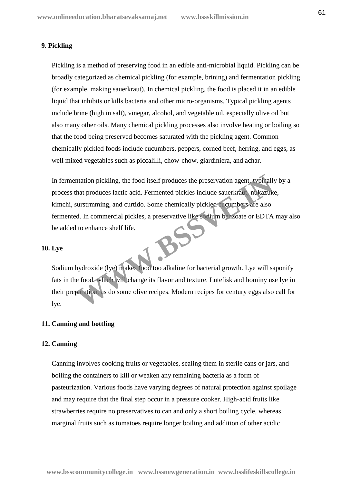# **9. Pickling**

Pickling is a method of preserving food in an edible anti-microbial liquid. Pickling can be broadly categorized as chemical pickling (for example, brining) and fermentation pickling (for example, making sauerkraut). In chemical pickling, the food is placed it in an edible liquid that inhibits or kills bacteria and other micro-organisms. Typical pickling agents include brine (high in salt), vinegar, alcohol, and vegetable oil, especially olive oil but also many other oils. Many chemical pickling processes also involve heating or boiling so that the food being preserved becomes saturated with the pickling agent. Common chemically pickled foods include cucumbers, peppers, corned beef, herring, and eggs, as well mixed vegetables such as piccalilli, chow-chow, giardiniera, and achar.

In fermentation pickling, the food itself produces the preservation agent, typically by a process that produces lactic acid. Fermented pickles include sauerkraut, nukazuke, kimchi, surstrmming, and curtido. Some chemically pickled cucumbers are also fermented. In commercial pickles, a preservative like sodium benzoate or EDTA may also<br>be added to enhance shelf life.<br>Lye be added to enhance shelf life. mattion pickling, the food itself produces the preservation agent. typicall<sub>1</sub><br>
hat produces lactic acid. Fermented pickles include sauerkrau antkazuk<br>
surstrmming, and curtido. Some chemically pickled a relimbers are also

# **10. Lye**

Sodium hydroxide (lye) makes food too alkaline for bacterial growth. Lye will saponify fats in the food, which will change its flavor and texture. Lutefisk and hominy use lye in their preparation, as do some olive recipes. Modern recipes for century eggs also call for lye.

# **11. Canning and bottling**

# **12. Canning**

Canning involves cooking fruits or vegetables, sealing them in sterile cans or jars, and boiling the containers to kill or weaken any remaining bacteria as a form of pasteurization. Various foods have varying degrees of natural protection against spoilage and may require that the final step occur in a pressure cooker. High-acid fruits like strawberries require no preservatives to can and only a short boiling cycle, whereas marginal fruits such as tomatoes require longer boiling and addition of other acidic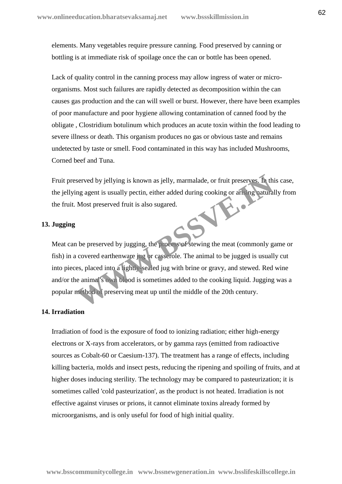elements. Many vegetables require pressure canning. Food preserved by canning or bottling is at immediate risk of spoilage once the can or bottle has been opened.

Lack of quality control in the canning process may allow ingress of water or micro organisms. Most such failures are rapidly detected as decomposition within the can causes gas production and the can will swell or burst. However, there have been examples of poor manufacture and poor hygiene allowing contamination of canned food by the obligate , Clostridium botulinum which produces an acute toxin within the food leading to severe illness or death. This organism produces no gas or obvious taste and remains undetected by taste or smell. Food contaminated in this way has included Mushrooms, Corned beef and Tuna.

Fruit preserved by jellying is known as jelly, marmalade, or fruit preserves. In this case, the jellying agent is usually pectin, either added during cooking or arising naturally from the fruit. Most preserved fruit is also sugared. W.B.

# **13. Jugging**

Meat can be preserved by jugging, the process of stewing the meat (commonly game or fish) in a covered earthenware jug or casserole. The animal to be jugged is usually cut into pieces, placed into a tightly-sealed jug with brine or gravy, and stewed. Red wine and/or the animal's own blood is sometimes added to the cooking liquid. Jugging was a popular method of preserving meat up until the middle of the 20th century.

# **14. Irradiation**

Irradiation of food is the exposure of food to ionizing radiation; either high-energy electrons or X-rays from accelerators, or by gamma rays (emitted from radioactive sources as Cobalt-60 or Caesium-137). The treatment has a range of effects, including killing bacteria, molds and insect pests, reducing the ripening and spoiling of fruits, and at higher doses inducing sterility. The technology may be compared to pasteurization; it is sometimes called 'cold pasteurization', as the product is not heated. Irradiation is not effective against viruses or prions, it cannot eliminate toxins already formed by microorganisms, and is only useful for food of high initial quality.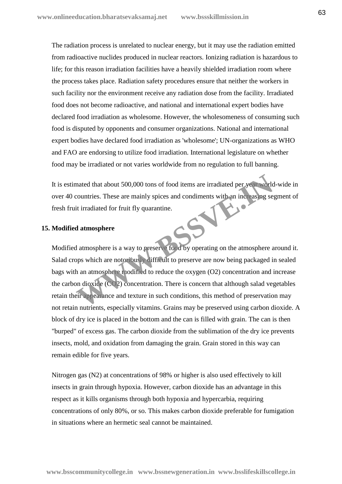The radiation process is unrelated to nuclear energy, but it may use the radiation emitted from radioactive nuclides produced in nuclear reactors. Ionizing radiation is hazardous to life; for this reason irradiation facilities have a heavily shielded irradiation room where the process takes place. Radiation safety procedures ensure that neither the workers in such facility nor the environment receive any radiation dose from the facility. Irradiated food does not become radioactive, and national and international expert bodies have declared food irradiation as wholesome. However, the wholesomeness of consuming such food is disputed by opponents and consumer organizations. National and international expert bodies have declared food irradiation as 'wholesome'; UN-organizations as WHO and FAO are endorsing to utilize food irradiation. International legislature on whether food may be irradiated or not varies worldwide from no regulation to full banning.

It is estimated that about 500,000 tons of food items are irradiated per year world-wide in over 40 countries. These are mainly spices and condiments with an increasing segment of fresh fruit irradiated for fruit fly quarantine.

# **15. Modified atmosphere**

Modified atmosphere is a way to preserve food by operating on the atmosphere around it. Salad crops which are notoriously difficult to preserve are now being packaged in sealed bags with an atmosphere modified to reduce the oxygen (O2) concentration and increase the carbon dioxide (CO2) concentration. There is concern that although salad vegetables retain their appearance and texture in such conditions, this method of preservation may not retain nutrients, especially vitamins. Grains may be preserved using carbon dioxide. A block of dry ice is placed in the bottom and the can is filled with grain. The can is then "burped" of excess gas. The carbon dioxide from the sublimation of the dry ice prevents insects, mold, and oxidation from damaging the grain. Grain stored in this way can remain edible for five years. mated that about 500,000 tons of food items are irradiated per year world<br>countries. These are mainly spices and condiments with an increasing set<br>it irradiated for fruit fly quarantine.<br>**d atmosphere**<br>d atmosphere is a wa

Nitrogen gas (N2) at concentrations of 98% or higher is also used effectively to kill insects in grain through hypoxia. However, carbon dioxide has an advantage in this respect as it kills organisms through both hypoxia and hypercarbia, requiring concentrations of only 80%, or so. This makes carbon dioxide preferable for fumigation in situations where an hermetic seal cannot be maintained.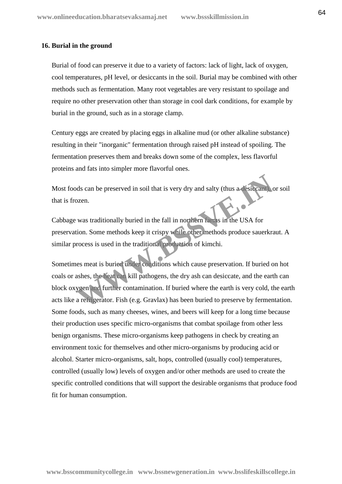# **16. Burial in the ground**

Burial of food can preserve it due to a variety of factors: lack of light, lack of oxygen, cool temperatures, pH level, or desiccants in the soil. Burial may be combined with other methods such as fermentation. Many root vegetables are very resistant to spoilage and require no other preservation other than storage in cool dark conditions, for example by burial in the ground, such as in a storage clamp.

Century eggs are created by placing eggs in alkaline mud (or other alkaline substance) resulting in their "inorganic" fermentation through raised pH instead of spoiling. The fermentation preserves them and breaks down some of the complex, less flavorful proteins and fats into simpler more flavorful ones.

Most foods can be preserved in soil that is very dry and salty (thus a desiccant), or soil that is frozen.

Cabbage was traditionally buried in the fall in northern farms in the USA for preservation. Some methods keep it crispy while other methods produce sauerkraut. A similar process is used in the traditional production of kimchi.

Sometimes meat is buried under conditions which cause preservation. If buried on hot coals or ashes, the heat can kill pathogens, the dry ash can desiccate, and the earth can block oxygen and further contamination. If buried where the earth is very cold, the earth acts like a refrigerator. Fish (e.g. Gravlax) has been buried to preserve by fermentation. Some foods, such as many cheeses, wines, and beers will keep for a long time because their production uses specific micro-organisms that combat spoilage from other less benign organisms. These micro-organisms keep pathogens in check by creating an environment toxic for themselves and other micro-organisms by producing acid or alcohol. Starter micro-organisms, salt, hops, controlled (usually cool) temperatures, controlled (usually low) levels of oxygen and/or other methods are used to create the specific controlled conditions that will support the desirable organisms that produce food fit for human consumption. Motion and preserved in soil that is very dry and salty (thus a **exiccant**) of the preserved in soil that is very dry and salty (thus a **exiccant**) of the methods by the methods keep it crispy while other methods produce s